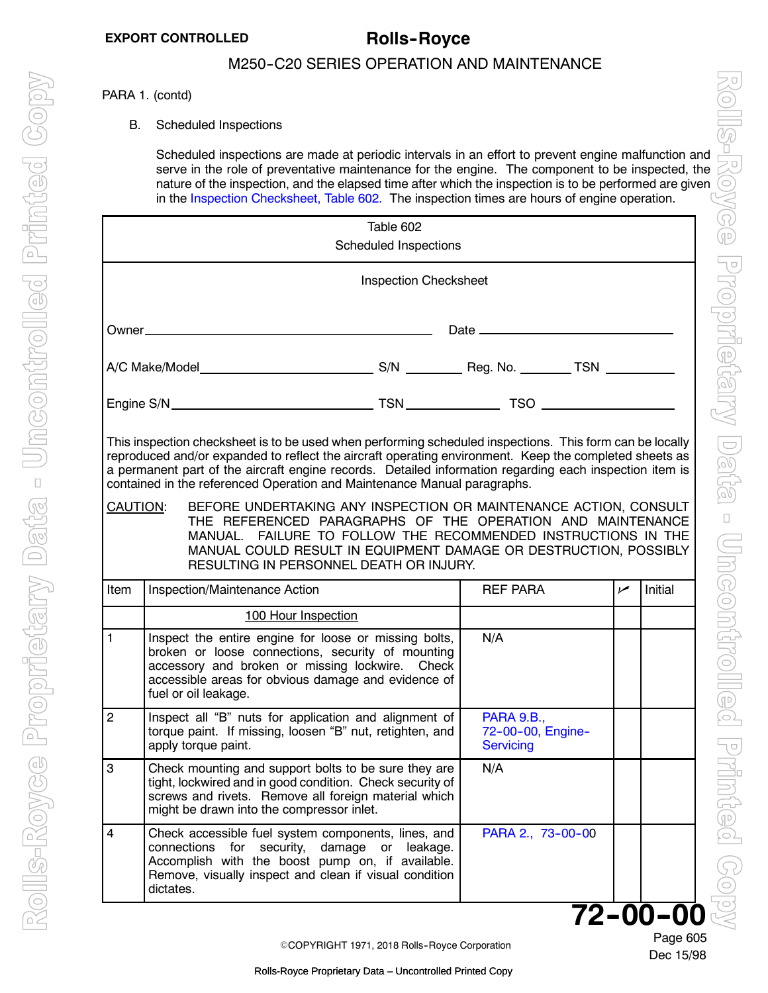### <span id="page-0-0"></span>PARA 1. (contd)

B. Scheduled Inspections

Scheduled inspections are made at periodic intervals in an effort to prevent engine malfunction and serve in the role of preventative maintenance for the engine. The component to be inspected, the nature of the inspection, and the elapsed time after which the inspection is to be performed are given in the Inspection Checksheet, Table 602. The inspection times are hours of engine operation.

| Table 602<br><b>Scheduled Inspections</b>                                                                                                                                                                                                                                                                                                                                                                                                                                                                                                                                                                                                                                                                                               |                                                                                                                                                                                                                                              |                                                            |                |         |  |  |
|-----------------------------------------------------------------------------------------------------------------------------------------------------------------------------------------------------------------------------------------------------------------------------------------------------------------------------------------------------------------------------------------------------------------------------------------------------------------------------------------------------------------------------------------------------------------------------------------------------------------------------------------------------------------------------------------------------------------------------------------|----------------------------------------------------------------------------------------------------------------------------------------------------------------------------------------------------------------------------------------------|------------------------------------------------------------|----------------|---------|--|--|
| <b>Inspection Checksheet</b>                                                                                                                                                                                                                                                                                                                                                                                                                                                                                                                                                                                                                                                                                                            |                                                                                                                                                                                                                                              |                                                            |                |         |  |  |
|                                                                                                                                                                                                                                                                                                                                                                                                                                                                                                                                                                                                                                                                                                                                         |                                                                                                                                                                                                                                              |                                                            |                |         |  |  |
|                                                                                                                                                                                                                                                                                                                                                                                                                                                                                                                                                                                                                                                                                                                                         |                                                                                                                                                                                                                                              |                                                            |                |         |  |  |
|                                                                                                                                                                                                                                                                                                                                                                                                                                                                                                                                                                                                                                                                                                                                         |                                                                                                                                                                                                                                              |                                                            |                |         |  |  |
| This inspection checksheet is to be used when performing scheduled inspections. This form can be locally<br>reproduced and/or expanded to reflect the aircraft operating environment. Keep the completed sheets as<br>a permanent part of the aircraft engine records. Detailed information regarding each inspection item is<br>contained in the referenced Operation and Maintenance Manual paragraphs.<br>BEFORE UNDERTAKING ANY INSPECTION OR MAINTENANCE ACTION, CONSULT<br>CAUTION:<br>THE REFERENCED PARAGRAPHS OF THE OPERATION AND MAINTENANCE<br>MANUAL. FAILURE TO FOLLOW THE RECOMMENDED INSTRUCTIONS IN THE<br>MANUAL COULD RESULT IN EQUIPMENT DAMAGE OR DESTRUCTION, POSSIBLY<br>RESULTING IN PERSONNEL DEATH OR INJURY. |                                                                                                                                                                                                                                              |                                                            |                |         |  |  |
| Item                                                                                                                                                                                                                                                                                                                                                                                                                                                                                                                                                                                                                                                                                                                                    | Inspection/Maintenance Action                                                                                                                                                                                                                | <b>REF PARA</b>                                            | $\overline{v}$ | Initial |  |  |
|                                                                                                                                                                                                                                                                                                                                                                                                                                                                                                                                                                                                                                                                                                                                         | 100 Hour Inspection                                                                                                                                                                                                                          |                                                            |                |         |  |  |
| $\mathbf{1}$                                                                                                                                                                                                                                                                                                                                                                                                                                                                                                                                                                                                                                                                                                                            | Inspect the entire engine for loose or missing bolts,<br>broken or loose connections, security of mounting<br>accessory and broken or missing lockwire. Check<br>accessible areas for obvious damage and evidence of<br>fuel or oil leakage. | N/A                                                        |                |         |  |  |
| $\overline{2}$                                                                                                                                                                                                                                                                                                                                                                                                                                                                                                                                                                                                                                                                                                                          | Inspect all "B" nuts for application and alignment of<br>torque paint. If missing, loosen "B" nut, retighten, and<br>apply torque paint.                                                                                                     | <b>PARA 9.B.,</b><br>72-00-00, Engine-<br><b>Servicing</b> |                |         |  |  |
| 3                                                                                                                                                                                                                                                                                                                                                                                                                                                                                                                                                                                                                                                                                                                                       | Check mounting and support bolts to be sure they are<br>tight, lockwired and in good condition. Check security of<br>screws and rivets. Remove all foreign material which<br>might be drawn into the compressor inlet.                       | N/A                                                        |                |         |  |  |
| $\overline{4}$                                                                                                                                                                                                                                                                                                                                                                                                                                                                                                                                                                                                                                                                                                                          | Check accessible fuel system components, lines, and<br>connections<br>for security,<br>damage<br>or<br>leakage.<br>Accomplish with the boost pump on, if available.<br>Remove, visually inspect and clean if visual condition<br>dictates.   | PARA 2., 73-00-00                                          |                |         |  |  |
| $72 - 00 - 00$                                                                                                                                                                                                                                                                                                                                                                                                                                                                                                                                                                                                                                                                                                                          |                                                                                                                                                                                                                                              |                                                            |                |         |  |  |

©COPYRIGHT 1971, 2018 Rolls-Royce Corporation

Dec 15/98 Page 605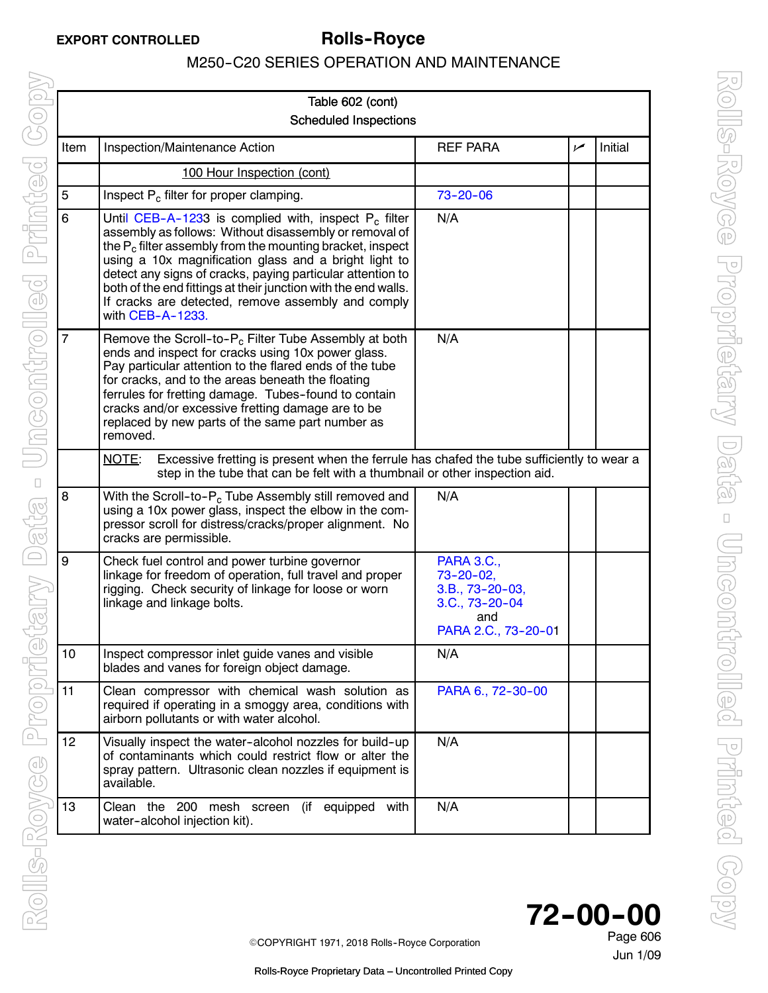<span id="page-1-0"></span>

| Table 602 (cont) |                                                                                                                                                                                                                                                                                                                                                                                                                                                      |                                                                                                            |     |         |  |
|------------------|------------------------------------------------------------------------------------------------------------------------------------------------------------------------------------------------------------------------------------------------------------------------------------------------------------------------------------------------------------------------------------------------------------------------------------------------------|------------------------------------------------------------------------------------------------------------|-----|---------|--|
|                  | <b>Scheduled Inspections</b>                                                                                                                                                                                                                                                                                                                                                                                                                         |                                                                                                            |     |         |  |
| Item             | Inspection/Maintenance Action                                                                                                                                                                                                                                                                                                                                                                                                                        | <b>REF PARA</b>                                                                                            | سما | Initial |  |
|                  | 100 Hour Inspection (cont)                                                                                                                                                                                                                                                                                                                                                                                                                           |                                                                                                            |     |         |  |
| $\overline{5}$   | Inspect P <sub>c</sub> filter for proper clamping.                                                                                                                                                                                                                                                                                                                                                                                                   | $73 - 20 - 06$                                                                                             |     |         |  |
| 6                | Until CEB-A-1233 is complied with, inspect $P_c$ filter<br>assembly as follows: Without disassembly or removal of<br>the $P_c$ filter assembly from the mounting bracket, inspect<br>using a 10x magnification glass and a bright light to<br>detect any signs of cracks, paying particular attention to<br>both of the end fittings at their junction with the end walls.<br>If cracks are detected, remove assembly and comply<br>with CEB-A-1233. | N/A                                                                                                        |     |         |  |
| 7                | Remove the Scroll-to-P <sub>c</sub> Filter Tube Assembly at both<br>ends and inspect for cracks using 10x power glass.<br>Pay particular attention to the flared ends of the tube<br>for cracks, and to the areas beneath the floating<br>ferrules for fretting damage. Tubes-found to contain<br>cracks and/or excessive fretting damage are to be<br>replaced by new parts of the same part number as<br>removed.                                  | N/A                                                                                                        |     |         |  |
|                  | Excessive fretting is present when the ferrule has chafed the tube sufficiently to wear a<br>NOTE:<br>step in the tube that can be felt with a thumbnail or other inspection aid.                                                                                                                                                                                                                                                                    |                                                                                                            |     |         |  |
| 8                | With the Scroll-to-P <sub>c</sub> Tube Assembly still removed and<br>using a 10x power glass, inspect the elbow in the com-<br>pressor scroll for distress/cracks/proper alignment. No<br>cracks are permissible.                                                                                                                                                                                                                                    | N/A                                                                                                        |     |         |  |
| 9                | Check fuel control and power turbine governor<br>linkage for freedom of operation, full travel and proper<br>rigging. Check security of linkage for loose or worn<br>linkage and linkage bolts.                                                                                                                                                                                                                                                      | <b>PARA 3.C.,</b><br>$73 - 20 - 02$ ,<br>$3.B., 73-20-03,$<br>3.C., 73-20-04<br>and<br>PARA 2.C., 73-20-01 |     |         |  |
| 10               | Inspect compressor inlet guide vanes and visible<br>blades and vanes for foreign object damage.                                                                                                                                                                                                                                                                                                                                                      | N/A                                                                                                        |     |         |  |
| 11               | Clean compressor with chemical wash solution as<br>required if operating in a smoggy area, conditions with<br>airborn pollutants or with water alcohol.                                                                                                                                                                                                                                                                                              | PARA 6., 72-30-00                                                                                          |     |         |  |
| 12               | Visually inspect the water-alcohol nozzles for build-up<br>of contaminants which could restrict flow or alter the<br>spray pattern. Ultrasonic clean nozzles if equipment is<br>available.                                                                                                                                                                                                                                                           | N/A                                                                                                        |     |         |  |
| 13               | Clean the 200<br>mesh<br>equipped<br>with<br>screen<br>(if<br>water-alcohol injection kit).                                                                                                                                                                                                                                                                                                                                                          | N/A                                                                                                        |     |         |  |

72-00-00

Jun 1/09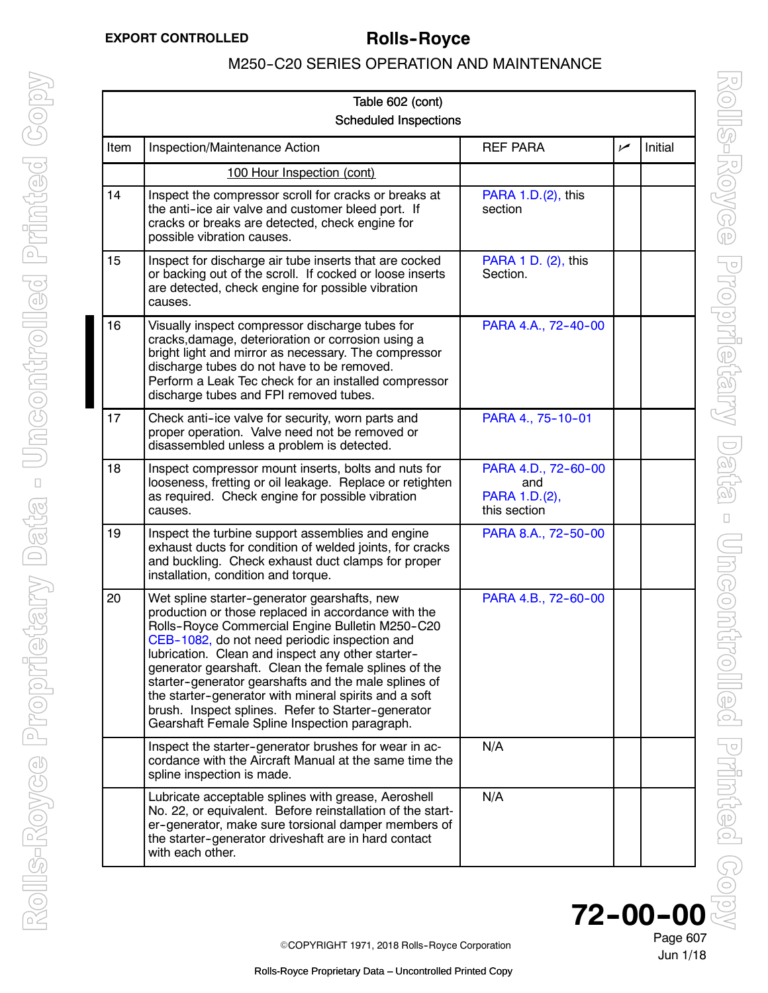<span id="page-2-0"></span>

| Table 602 (cont) |                                                                                                                                                                                                                                                                                                                                                                                                                                                                                                                                              |                                                             |                |         |  |
|------------------|----------------------------------------------------------------------------------------------------------------------------------------------------------------------------------------------------------------------------------------------------------------------------------------------------------------------------------------------------------------------------------------------------------------------------------------------------------------------------------------------------------------------------------------------|-------------------------------------------------------------|----------------|---------|--|
|                  | <b>Scheduled Inspections</b>                                                                                                                                                                                                                                                                                                                                                                                                                                                                                                                 |                                                             |                |         |  |
| Item             | Inspection/Maintenance Action                                                                                                                                                                                                                                                                                                                                                                                                                                                                                                                | <b>REF PARA</b>                                             | $\overline{v}$ | Initial |  |
|                  | 100 Hour Inspection (cont)                                                                                                                                                                                                                                                                                                                                                                                                                                                                                                                   |                                                             |                |         |  |
| 14               | Inspect the compressor scroll for cracks or breaks at<br>the anti-ice air valve and customer bleed port. If<br>cracks or breaks are detected, check engine for<br>possible vibration causes.                                                                                                                                                                                                                                                                                                                                                 | PARA 1.D.(2), this<br>section                               |                |         |  |
| 15               | Inspect for discharge air tube inserts that are cocked<br>or backing out of the scroll. If cocked or loose inserts<br>are detected, check engine for possible vibration<br>causes.                                                                                                                                                                                                                                                                                                                                                           | PARA 1 D. (2), this<br>Section.                             |                |         |  |
| 16               | Visually inspect compressor discharge tubes for<br>cracks, damage, deterioration or corrosion using a<br>bright light and mirror as necessary. The compressor<br>discharge tubes do not have to be removed.<br>Perform a Leak Tec check for an installed compressor<br>discharge tubes and FPI removed tubes.                                                                                                                                                                                                                                | PARA 4.A., 72-40-00                                         |                |         |  |
| 17               | Check anti-ice valve for security, worn parts and<br>proper operation. Valve need not be removed or<br>disassembled unless a problem is detected.                                                                                                                                                                                                                                                                                                                                                                                            | PARA 4., 75-10-01                                           |                |         |  |
| 18               | Inspect compressor mount inserts, bolts and nuts for<br>looseness, fretting or oil leakage. Replace or retighten<br>as required. Check engine for possible vibration<br>causes.                                                                                                                                                                                                                                                                                                                                                              | PARA 4.D., 72-60-00<br>and<br>PARA 1.D.(2),<br>this section |                |         |  |
| 19               | Inspect the turbine support assemblies and engine<br>exhaust ducts for condition of welded joints, for cracks<br>and buckling. Check exhaust duct clamps for proper<br>installation, condition and torque.                                                                                                                                                                                                                                                                                                                                   | PARA 8.A., 72-50-00                                         |                |         |  |
| 20               | Wet spline starter-generator gearshafts, new<br>production or those replaced in accordance with the<br>Rolls-Royce Commercial Engine Bulletin M250-C20<br>CEB-1082, do not need periodic inspection and<br>lubrication. Clean and inspect any other starter-<br>generator gearshaft. Clean the female splines of the<br>starter-generator gearshafts and the male splines of<br>the starter-generator with mineral spirits and a soft<br>brush. Inspect splines. Refer to Starter-generator<br>Gearshaft Female Spline Inspection paragraph. | PARA 4.B., 72-60-00                                         |                |         |  |
|                  | Inspect the starter-generator brushes for wear in ac-<br>cordance with the Aircraft Manual at the same time the<br>spline inspection is made.                                                                                                                                                                                                                                                                                                                                                                                                | N/A                                                         |                |         |  |
|                  | Lubricate acceptable splines with grease, Aeroshell<br>No. 22, or equivalent. Before reinstallation of the start-<br>er-generator, make sure torsional damper members of<br>the starter-generator driveshaft are in hard contact<br>with each other.                                                                                                                                                                                                                                                                                         | N/A                                                         |                |         |  |

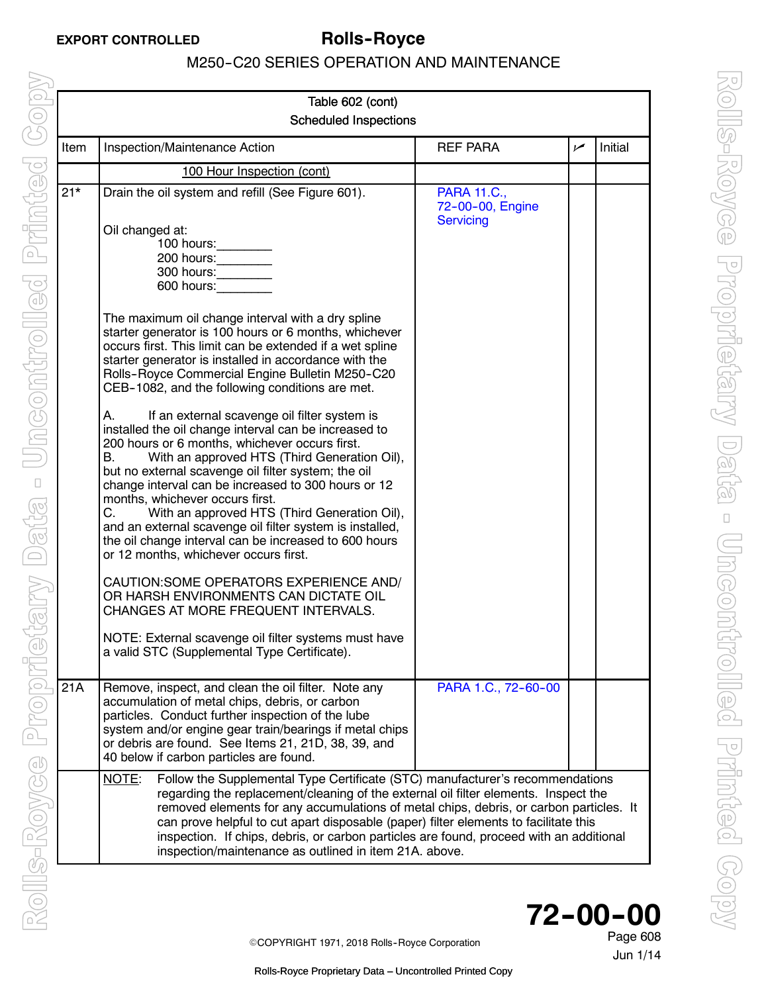<span id="page-3-0"></span>

| Table 602 (cont) |                                                                                                                                                                                                                                                                                                                                                                                                                                                                                                                                                                                                                                                                                                                                                                                                                                                                                                                                                                                                                                                                                                                                                                                              |                                                     |     |         |  |
|------------------|----------------------------------------------------------------------------------------------------------------------------------------------------------------------------------------------------------------------------------------------------------------------------------------------------------------------------------------------------------------------------------------------------------------------------------------------------------------------------------------------------------------------------------------------------------------------------------------------------------------------------------------------------------------------------------------------------------------------------------------------------------------------------------------------------------------------------------------------------------------------------------------------------------------------------------------------------------------------------------------------------------------------------------------------------------------------------------------------------------------------------------------------------------------------------------------------|-----------------------------------------------------|-----|---------|--|
|                  | <b>Scheduled Inspections</b>                                                                                                                                                                                                                                                                                                                                                                                                                                                                                                                                                                                                                                                                                                                                                                                                                                                                                                                                                                                                                                                                                                                                                                 |                                                     |     |         |  |
| Item             | Inspection/Maintenance Action                                                                                                                                                                                                                                                                                                                                                                                                                                                                                                                                                                                                                                                                                                                                                                                                                                                                                                                                                                                                                                                                                                                                                                | <b>REF PARA</b>                                     | سما | Initial |  |
|                  | 100 Hour Inspection (cont)                                                                                                                                                                                                                                                                                                                                                                                                                                                                                                                                                                                                                                                                                                                                                                                                                                                                                                                                                                                                                                                                                                                                                                   |                                                     |     |         |  |
| $21*$            | Drain the oil system and refill (See Figure 601).<br>Oil changed at:<br>100 hours:<br>200 hours:<br>300 hours:<br>600 hours:<br>The maximum oil change interval with a dry spline<br>starter generator is 100 hours or 6 months, whichever<br>occurs first. This limit can be extended if a wet spline<br>starter generator is installed in accordance with the<br>Rolls-Royce Commercial Engine Bulletin M250-C20<br>CEB-1082, and the following conditions are met.<br>If an external scavenge oil filter system is<br>А.<br>installed the oil change interval can be increased to<br>200 hours or 6 months, whichever occurs first.<br>With an approved HTS (Third Generation Oil),<br>В.<br>but no external scavenge oil filter system; the oil<br>change interval can be increased to 300 hours or 12<br>months, whichever occurs first.<br>C.<br>With an approved HTS (Third Generation Oil),<br>and an external scavenge oil filter system is installed,<br>the oil change interval can be increased to 600 hours<br>or 12 months, whichever occurs first.<br>CAUTION: SOME OPERATORS EXPERIENCE AND/<br>OR HARSH ENVIRONMENTS CAN DICTATE OIL<br>CHANGES AT MORE FREQUENT INTERVALS. | <b>PARA 11.C.,</b><br>72-00-00, Engine<br>Servicing |     |         |  |
|                  | NOTE: External scavenge oil filter systems must have<br>a valid STC (Supplemental Type Certificate).                                                                                                                                                                                                                                                                                                                                                                                                                                                                                                                                                                                                                                                                                                                                                                                                                                                                                                                                                                                                                                                                                         |                                                     |     |         |  |
| 21A              | Remove, inspect, and clean the oil filter. Note any<br>accumulation of metal chips, debris, or carbon<br>particles. Conduct further inspection of the lube<br>system and/or engine gear train/bearings if metal chips<br>or debris are found. See Items 21, 21D, 38, 39, and<br>40 below if carbon particles are found.                                                                                                                                                                                                                                                                                                                                                                                                                                                                                                                                                                                                                                                                                                                                                                                                                                                                      | PARA 1.C., 72-60-00                                 |     |         |  |
|                  | NOTE:<br>Follow the Supplemental Type Certificate (STC) manufacturer's recommendations<br>regarding the replacement/cleaning of the external oil filter elements. Inspect the<br>removed elements for any accumulations of metal chips, debris, or carbon particles. It<br>can prove helpful to cut apart disposable (paper) filter elements to facilitate this<br>inspection. If chips, debris, or carbon particles are found, proceed with an additional<br>inspection/maintenance as outlined in item 21A. above.                                                                                                                                                                                                                                                                                                                                                                                                                                                                                                                                                                                                                                                                         |                                                     |     |         |  |

72-00-00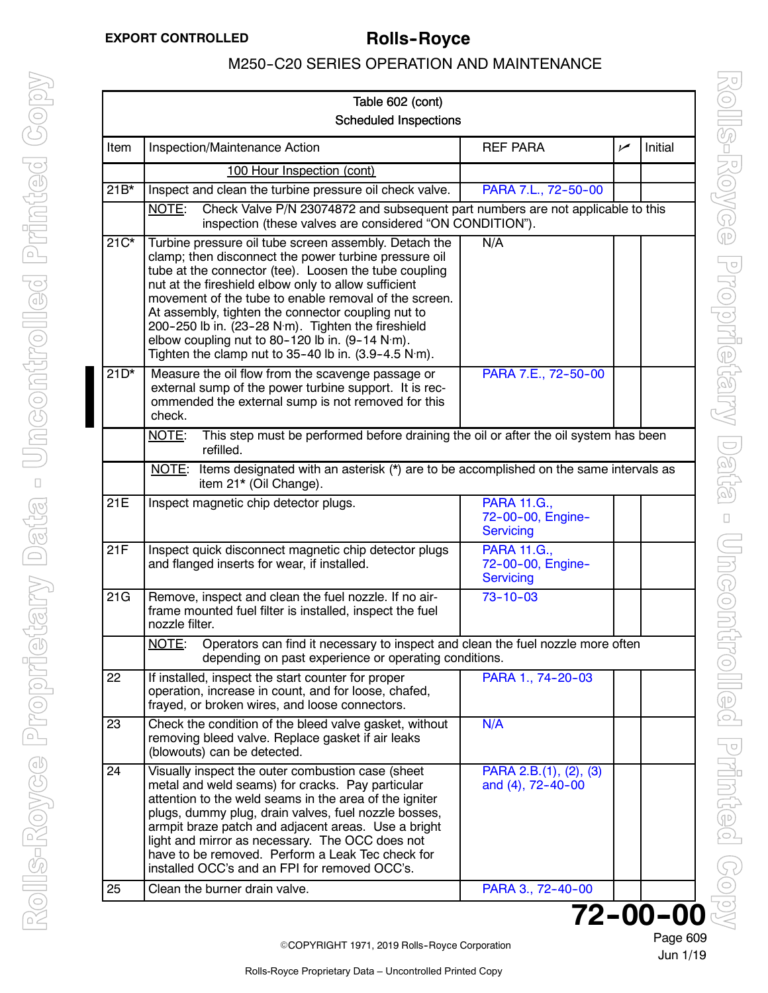<span id="page-4-0"></span>

|        | Table 602 (cont)                                                                                                                                                                                                                                                                                                                                                                                                                                                                                                                          |                                                      |     |         |
|--------|-------------------------------------------------------------------------------------------------------------------------------------------------------------------------------------------------------------------------------------------------------------------------------------------------------------------------------------------------------------------------------------------------------------------------------------------------------------------------------------------------------------------------------------------|------------------------------------------------------|-----|---------|
|        | <b>Scheduled Inspections</b>                                                                                                                                                                                                                                                                                                                                                                                                                                                                                                              |                                                      |     |         |
| Item   | Inspection/Maintenance Action                                                                                                                                                                                                                                                                                                                                                                                                                                                                                                             | <b>REF PARA</b>                                      | سما | Initial |
|        | 100 Hour Inspection (cont)                                                                                                                                                                                                                                                                                                                                                                                                                                                                                                                |                                                      |     |         |
| $21B*$ | Inspect and clean the turbine pressure oil check valve.                                                                                                                                                                                                                                                                                                                                                                                                                                                                                   | PARA 7.L., 72-50-00                                  |     |         |
|        | NOTE:<br>Check Valve P/N 23074872 and subsequent part numbers are not applicable to this<br>inspection (these valves are considered "ON CONDITION").                                                                                                                                                                                                                                                                                                                                                                                      |                                                      |     |         |
| $21C*$ | Turbine pressure oil tube screen assembly. Detach the<br>clamp; then disconnect the power turbine pressure oil<br>tube at the connector (tee). Loosen the tube coupling<br>nut at the fireshield elbow only to allow sufficient<br>movement of the tube to enable removal of the screen.<br>At assembly, tighten the connector coupling nut to<br>200-250 lb in. (23-28 N·m). Tighten the fireshield<br>elbow coupling nut to 80-120 lb in. (9-14 N·m).<br>Tighten the clamp nut to $35-40$ lb in. $(3.9-4.5 \text{ N} \cdot \text{m})$ . | N/A                                                  |     |         |
| $21D*$ | Measure the oil flow from the scavenge passage or<br>external sump of the power turbine support. It is rec-<br>ommended the external sump is not removed for this<br>check.                                                                                                                                                                                                                                                                                                                                                               | PARA 7.E., 72-50-00                                  |     |         |
|        | This step must be performed before draining the oil or after the oil system has been<br>NOTE:<br>refilled.                                                                                                                                                                                                                                                                                                                                                                                                                                |                                                      |     |         |
|        | Items designated with an asterisk (*) are to be accomplished on the same intervals as<br><u>NOTE:</u><br>item 21* (Oil Change).                                                                                                                                                                                                                                                                                                                                                                                                           |                                                      |     |         |
| 21E    | Inspect magnetic chip detector plugs.                                                                                                                                                                                                                                                                                                                                                                                                                                                                                                     | <b>PARA 11.G.,</b><br>72-00-00, Engine-<br>Servicing |     |         |
| 21F    | Inspect quick disconnect magnetic chip detector plugs<br>and flanged inserts for wear, if installed.                                                                                                                                                                                                                                                                                                                                                                                                                                      | <b>PARA 11.G.,</b><br>72-00-00, Engine-<br>Servicing |     |         |
|        |                                                                                                                                                                                                                                                                                                                                                                                                                                                                                                                                           |                                                      |     |         |
| 21G    | Remove, inspect and clean the fuel nozzle. If no air-<br>frame mounted fuel filter is installed, inspect the fuel<br>nozzle filter.                                                                                                                                                                                                                                                                                                                                                                                                       | $73 - 10 - 03$                                       |     |         |
|        | NOTE:<br>Operators can find it necessary to inspect and clean the fuel nozzle more often<br>depending on past experience or operating conditions.                                                                                                                                                                                                                                                                                                                                                                                         |                                                      |     |         |
| 22     | If installed, inspect the start counter for proper<br>operation, increase in count, and for loose, chafed,<br>frayed, or broken wires, and loose connectors.                                                                                                                                                                                                                                                                                                                                                                              | PARA 1., 74-20-03                                    |     |         |
| 23     | Check the condition of the bleed valve gasket, without<br>removing bleed valve. Replace gasket if air leaks<br>(blowouts) can be detected.                                                                                                                                                                                                                                                                                                                                                                                                | N/A                                                  |     |         |
| 24     | Visually inspect the outer combustion case (sheet<br>metal and weld seams) for cracks. Pay particular<br>attention to the weld seams in the area of the igniter<br>plugs, dummy plug, drain valves, fuel nozzle bosses,<br>armpit braze patch and adjacent areas. Use a bright<br>light and mirror as necessary. The OCC does not<br>have to be removed. Perform a Leak Tec check for<br>installed OCC's and an FPI for removed OCC's.                                                                                                    | PARA 2.B.(1), (2), (3)<br>and (4), 72-40-00          |     |         |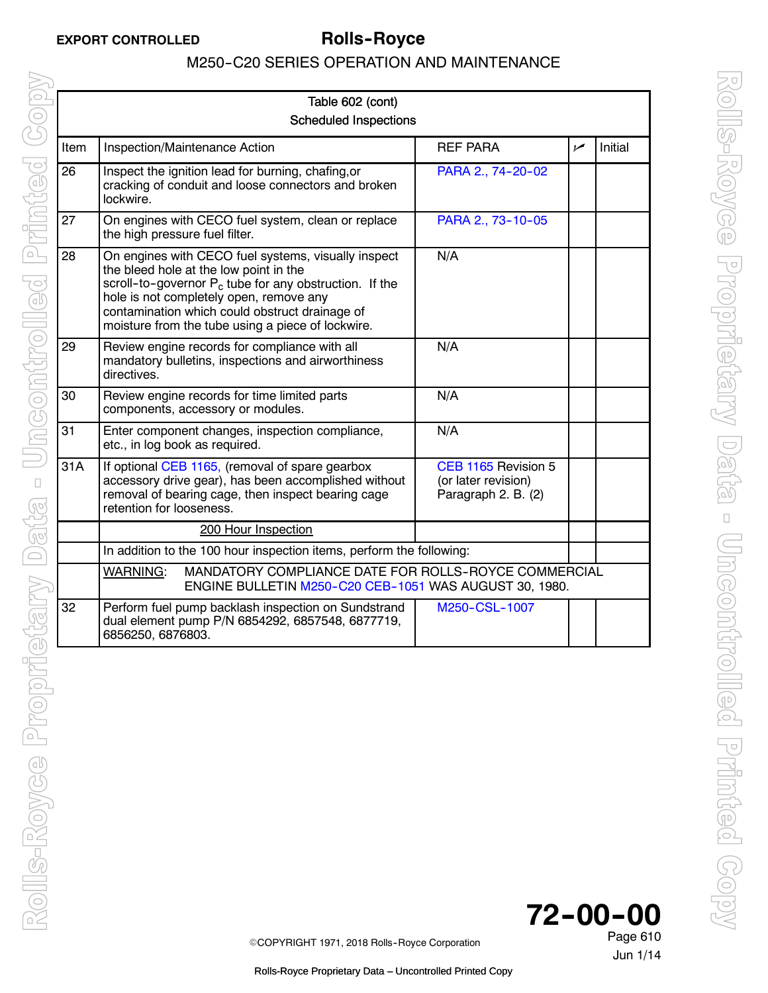| Table 602 (cont)<br><b>Scheduled Inspections</b> |                                                                                                                                                                                                                                                                                                              |                                                                   |     |         |
|--------------------------------------------------|--------------------------------------------------------------------------------------------------------------------------------------------------------------------------------------------------------------------------------------------------------------------------------------------------------------|-------------------------------------------------------------------|-----|---------|
| Item                                             | Inspection/Maintenance Action                                                                                                                                                                                                                                                                                | <b>REF PARA</b>                                                   | مما | Initial |
| 26                                               | Inspect the ignition lead for burning, chafing, or<br>cracking of conduit and loose connectors and broken<br>lockwire.                                                                                                                                                                                       | PARA 2., 74-20-02                                                 |     |         |
| 27                                               | On engines with CECO fuel system, clean or replace<br>the high pressure fuel filter.                                                                                                                                                                                                                         | PARA 2., 73-10-05                                                 |     |         |
| 28                                               | On engines with CECO fuel systems, visually inspect<br>the bleed hole at the low point in the<br>scroll-to-governor $P_c$ tube for any obstruction. If the<br>hole is not completely open, remove any<br>contamination which could obstruct drainage of<br>moisture from the tube using a piece of lockwire. | N/A                                                               |     |         |
| 29                                               | Review engine records for compliance with all<br>mandatory bulletins, inspections and airworthiness<br>directives.                                                                                                                                                                                           | N/A                                                               |     |         |
| 30                                               | Review engine records for time limited parts<br>components, accessory or modules.                                                                                                                                                                                                                            | N/A                                                               |     |         |
| 31                                               | Enter component changes, inspection compliance,<br>etc., in log book as required.                                                                                                                                                                                                                            | N/A                                                               |     |         |
| 31A                                              | If optional CEB 1165, (removal of spare gearbox<br>accessory drive gear), has been accomplished without<br>removal of bearing cage, then inspect bearing cage<br>retention for looseness.                                                                                                                    | CEB 1165 Revision 5<br>(or later revision)<br>Paragraph 2. B. (2) |     |         |
|                                                  | 200 Hour Inspection                                                                                                                                                                                                                                                                                          |                                                                   |     |         |
|                                                  | In addition to the 100 hour inspection items, perform the following:                                                                                                                                                                                                                                         |                                                                   |     |         |
|                                                  | <b>WARNING:</b><br>MANDATORY COMPLIANCE DATE FOR ROLLS-ROYCE COMMERCIAL<br>ENGINE BULLETIN M250-C20 CEB-1051 WAS AUGUST 30, 1980.                                                                                                                                                                            |                                                                   |     |         |
| 32                                               | Perform fuel pump backlash inspection on Sundstrand<br>dual element pump P/N 6854292, 6857548, 6877719,<br>6856250, 6876803.                                                                                                                                                                                 | M250-CSL-1007                                                     |     |         |

72-00-00

Jun 1/14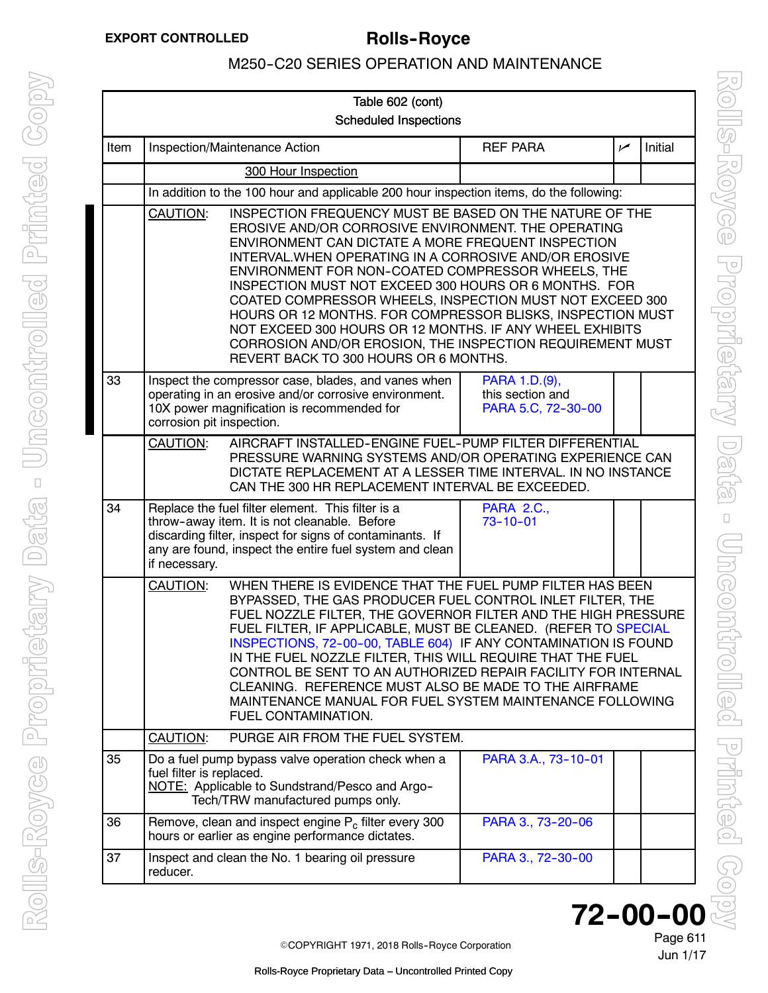<span id="page-6-0"></span>

| Table 602 (cont) |                                                                                                                                                                                                                                                                                                                                                                                                                                                                                                                                                                                                                                                      |                                                                                                                                                                                                                          |                                                         |     |         |
|------------------|------------------------------------------------------------------------------------------------------------------------------------------------------------------------------------------------------------------------------------------------------------------------------------------------------------------------------------------------------------------------------------------------------------------------------------------------------------------------------------------------------------------------------------------------------------------------------------------------------------------------------------------------------|--------------------------------------------------------------------------------------------------------------------------------------------------------------------------------------------------------------------------|---------------------------------------------------------|-----|---------|
|                  | <b>Scheduled Inspections</b>                                                                                                                                                                                                                                                                                                                                                                                                                                                                                                                                                                                                                         |                                                                                                                                                                                                                          |                                                         |     |         |
| Item             |                                                                                                                                                                                                                                                                                                                                                                                                                                                                                                                                                                                                                                                      | Inspection/Maintenance Action                                                                                                                                                                                            | <b>REF PARA</b>                                         | سما | Initial |
|                  |                                                                                                                                                                                                                                                                                                                                                                                                                                                                                                                                                                                                                                                      | 300 Hour Inspection                                                                                                                                                                                                      |                                                         |     |         |
|                  |                                                                                                                                                                                                                                                                                                                                                                                                                                                                                                                                                                                                                                                      | In addition to the 100 hour and applicable 200 hour inspection items, do the following:                                                                                                                                  |                                                         |     |         |
|                  | INSPECTION FREQUENCY MUST BE BASED ON THE NATURE OF THE<br>CAUTION:<br>EROSIVE AND/OR CORROSIVE ENVIRONMENT. THE OPERATING<br>ENVIRONMENT CAN DICTATE A MORE FREQUENT INSPECTION<br>INTERVAL. WHEN OPERATING IN A CORROSIVE AND/OR EROSIVE<br>ENVIRONMENT FOR NON-COATED COMPRESSOR WHEELS, THE<br>INSPECTION MUST NOT EXCEED 300 HOURS OR 6 MONTHS. FOR<br>COATED COMPRESSOR WHEELS, INSPECTION MUST NOT EXCEED 300<br>HOURS OR 12 MONTHS. FOR COMPRESSOR BLISKS, INSPECTION MUST<br>NOT EXCEED 300 HOURS OR 12 MONTHS. IF ANY WHEEL EXHIBITS<br>CORROSION AND/OR EROSION, THE INSPECTION REQUIREMENT MUST<br>REVERT BACK TO 300 HOURS OR 6 MONTHS. |                                                                                                                                                                                                                          |                                                         |     |         |
| 33               | corrosion pit inspection.                                                                                                                                                                                                                                                                                                                                                                                                                                                                                                                                                                                                                            | Inspect the compressor case, blades, and vanes when<br>operating in an erosive and/or corrosive environment.<br>10X power magnification is recommended for                                                               | PARA 1.D.(9),<br>this section and<br>PARA 5.C, 72-30-00 |     |         |
|                  | AIRCRAFT INSTALLED-ENGINE FUEL-PUMP FILTER DIFFERENTIAL<br>CAUTION:<br>PRESSURE WARNING SYSTEMS AND/OR OPERATING EXPERIENCE CAN<br>DICTATE REPLACEMENT AT A LESSER TIME INTERVAL. IN NO INSTANCE<br>CAN THE 300 HR REPLACEMENT INTERVAL BE EXCEEDED.                                                                                                                                                                                                                                                                                                                                                                                                 |                                                                                                                                                                                                                          |                                                         |     |         |
| 34               | if necessary.                                                                                                                                                                                                                                                                                                                                                                                                                                                                                                                                                                                                                                        | Replace the fuel filter element. This filter is a<br>throw-away item. It is not cleanable. Before<br>discarding filter, inspect for signs of contaminants. If<br>any are found, inspect the entire fuel system and clean | <b>PARA 2.C.,</b><br>$73 - 10 - 01$                     |     |         |
|                  | CAUTION:<br>WHEN THERE IS EVIDENCE THAT THE FUEL PUMP FILTER HAS BEEN<br>BYPASSED, THE GAS PRODUCER FUEL CONTROL INLET FILTER, THE<br>FUEL NOZZLE FILTER, THE GOVERNOR FILTER AND THE HIGH PRESSURE<br>FUEL FILTER, IF APPLICABLE, MUST BE CLEANED. (REFER TO SPECIAL<br>INSPECTIONS, 72-00-00, TABLE 604) IF ANY CONTAMINATION IS FOUND<br>IN THE FUEL NOZZLE FILTER, THIS WILL REQUIRE THAT THE FUEL<br>CONTROL BE SENT TO AN AUTHORIZED REPAIR FACILITY FOR INTERNAL<br>CLEANING. REFERENCE MUST ALSO BE MADE TO THE AIRFRAME<br>MAINTENANCE MANUAL FOR FUEL SYSTEM MAINTENANCE FOLLOWING<br>FUEL CONTAMINATION.                                  |                                                                                                                                                                                                                          |                                                         |     |         |
|                  | <b>CAUTION:</b>                                                                                                                                                                                                                                                                                                                                                                                                                                                                                                                                                                                                                                      | PURGE AIR FROM THE FUEL SYSTEM.                                                                                                                                                                                          |                                                         |     |         |
| 35               | fuel filter is replaced.                                                                                                                                                                                                                                                                                                                                                                                                                                                                                                                                                                                                                             | Do a fuel pump bypass valve operation check when a<br>NOTE: Applicable to Sundstrand/Pesco and Argo-<br>Tech/TRW manufactured pumps only.                                                                                | PARA 3.A., 73-10-01                                     |     |         |
| 36               |                                                                                                                                                                                                                                                                                                                                                                                                                                                                                                                                                                                                                                                      | Remove, clean and inspect engine P <sub>c</sub> filter every 300<br>hours or earlier as engine performance dictates.                                                                                                     | PARA 3., 73-20-06                                       |     |         |
| 37               | reducer.                                                                                                                                                                                                                                                                                                                                                                                                                                                                                                                                                                                                                                             | Inspect and clean the No. 1 bearing oil pressure                                                                                                                                                                         | PARA 3., 72-30-00                                       |     |         |

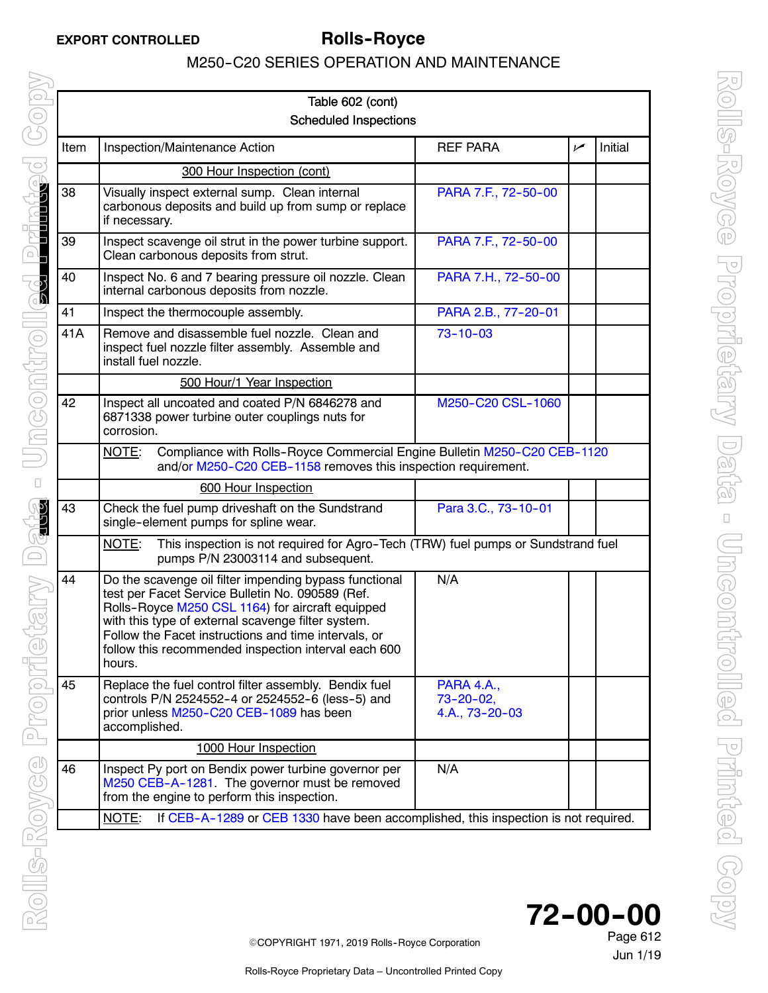|      | Table 602 (cont)                                                                                                                                                                                                                                                                                                                               |                                                       |     |         |
|------|------------------------------------------------------------------------------------------------------------------------------------------------------------------------------------------------------------------------------------------------------------------------------------------------------------------------------------------------|-------------------------------------------------------|-----|---------|
|      | <b>Scheduled Inspections</b>                                                                                                                                                                                                                                                                                                                   |                                                       |     |         |
| Item | Inspection/Maintenance Action                                                                                                                                                                                                                                                                                                                  | <b>REF PARA</b>                                       | سما | Initial |
|      | 300 Hour Inspection (cont)                                                                                                                                                                                                                                                                                                                     |                                                       |     |         |
| 38   | Visually inspect external sump. Clean internal<br>carbonous deposits and build up from sump or replace<br>if necessary.                                                                                                                                                                                                                        | PARA 7.F., 72-50-00                                   |     |         |
| 39   | Inspect scavenge oil strut in the power turbine support.<br>Clean carbonous deposits from strut.                                                                                                                                                                                                                                               | PARA 7.F., 72-50-00                                   |     |         |
| 40   | Inspect No. 6 and 7 bearing pressure oil nozzle. Clean<br>internal carbonous deposits from nozzle.                                                                                                                                                                                                                                             | PARA 7.H., 72-50-00                                   |     |         |
| 41   | Inspect the thermocouple assembly.                                                                                                                                                                                                                                                                                                             | PARA 2.B., 77-20-01                                   |     |         |
| 41A  | Remove and disassemble fuel nozzle. Clean and<br>inspect fuel nozzle filter assembly. Assemble and<br>install fuel nozzle.                                                                                                                                                                                                                     | $73 - 10 - 03$                                        |     |         |
|      | 500 Hour/1 Year Inspection                                                                                                                                                                                                                                                                                                                     |                                                       |     |         |
| 42   | Inspect all uncoated and coated P/N 6846278 and<br>6871338 power turbine outer couplings nuts for<br>corrosion.                                                                                                                                                                                                                                | M250-C20 CSL-1060                                     |     |         |
|      | Compliance with Rolls-Royce Commercial Engine Bulletin M250-C20 CEB-1120<br>NOTE:<br>and/or M250-C20 CEB-1158 removes this inspection requirement.                                                                                                                                                                                             |                                                       |     |         |
|      | 600 Hour Inspection                                                                                                                                                                                                                                                                                                                            |                                                       |     |         |
| 43   | Check the fuel pump driveshaft on the Sundstrand<br>single-element pumps for spline wear.                                                                                                                                                                                                                                                      | Para 3.C., 73-10-01                                   |     |         |
|      | This inspection is not required for Agro-Tech (TRW) fuel pumps or Sundstrand fuel<br>NOTE:<br>pumps P/N 23003114 and subsequent.                                                                                                                                                                                                               |                                                       |     |         |
| 44   | Do the scavenge oil filter impending bypass functional<br>test per Facet Service Bulletin No. 090589 (Ref.<br>Rolls-Royce M250 CSL 1164) for aircraft equipped<br>with this type of external scavenge filter system.<br>Follow the Facet instructions and time intervals, or<br>follow this recommended inspection interval each 600<br>hours. | N/A                                                   |     |         |
| 45   | Replace the fuel control filter assembly. Bendix fuel<br>controls P/N 2524552-4 or 2524552-6 (less-5) and<br>prior unless M250-C20 CEB-1089 has been<br>accomplished.                                                                                                                                                                          | <b>PARA 4.A.,</b><br>$73 - 20 - 02$<br>4.A., 73-20-03 |     |         |
|      | 1000 Hour Inspection                                                                                                                                                                                                                                                                                                                           |                                                       |     |         |
| 46   | Inspect Py port on Bendix power turbine governor per<br>M250 CEB-A-1281. The governor must be removed<br>from the engine to perform this inspection.                                                                                                                                                                                           | N/A                                                   |     |         |
|      | If CEB-A-1289 or CEB 1330 have been accomplished, this inspection is not required.<br>NOTE:                                                                                                                                                                                                                                                    |                                                       |     |         |



Jun 1/19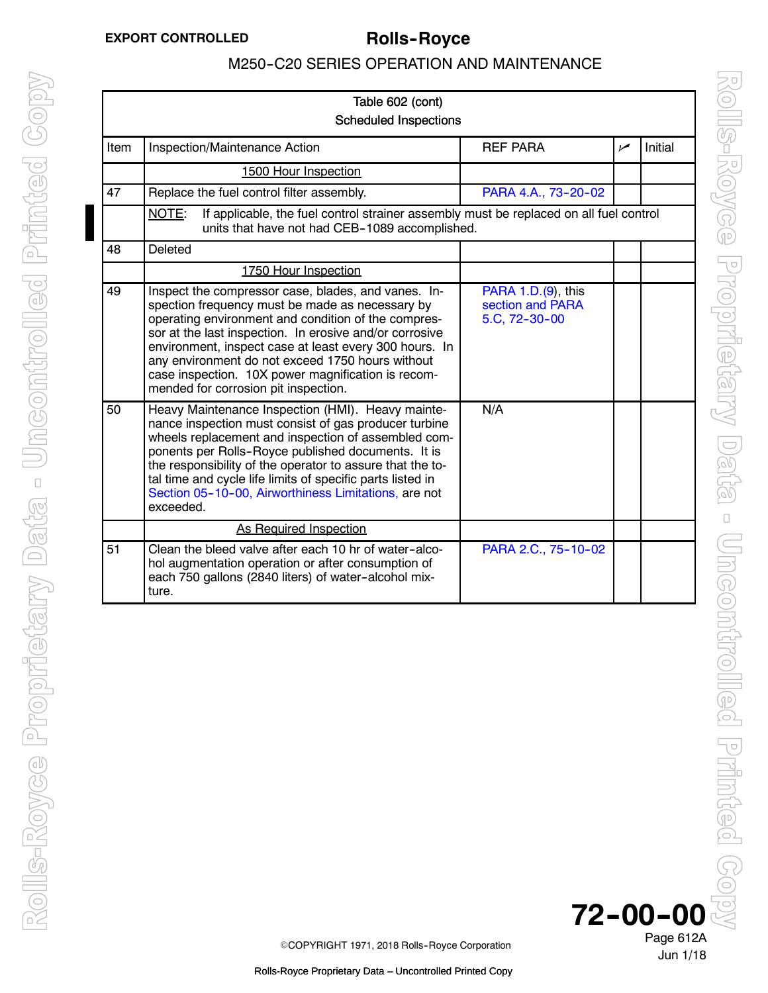<span id="page-8-0"></span>

| Table 602 (cont)<br><b>Scheduled Inspections</b> |                                                                                                                                                                                                                                                                                                                                                                                                                                      |                                                         |                |         |  |
|--------------------------------------------------|--------------------------------------------------------------------------------------------------------------------------------------------------------------------------------------------------------------------------------------------------------------------------------------------------------------------------------------------------------------------------------------------------------------------------------------|---------------------------------------------------------|----------------|---------|--|
| Item                                             | Inspection/Maintenance Action                                                                                                                                                                                                                                                                                                                                                                                                        | <b>REF PARA</b>                                         | $\overline{v}$ | Initial |  |
|                                                  | 1500 Hour Inspection                                                                                                                                                                                                                                                                                                                                                                                                                 |                                                         |                |         |  |
| 47                                               | Replace the fuel control filter assembly.                                                                                                                                                                                                                                                                                                                                                                                            | PARA 4.A., 73-20-02                                     |                |         |  |
|                                                  | NOTE:<br>If applicable, the fuel control strainer assembly must be replaced on all fuel control<br>units that have not had CEB-1089 accomplished.                                                                                                                                                                                                                                                                                    |                                                         |                |         |  |
| 48                                               | Deleted                                                                                                                                                                                                                                                                                                                                                                                                                              |                                                         |                |         |  |
|                                                  | 1750 Hour Inspection                                                                                                                                                                                                                                                                                                                                                                                                                 |                                                         |                |         |  |
| 49                                               | Inspect the compressor case, blades, and vanes. In-<br>spection frequency must be made as necessary by<br>operating environment and condition of the compres-<br>sor at the last inspection. In erosive and/or corrosive<br>environment, inspect case at least every 300 hours. In<br>any environment do not exceed 1750 hours without<br>case inspection. 10X power magnification is recom-<br>mended for corrosion pit inspection. | PARA 1.D.(9), this<br>section and PARA<br>5.C, 72-30-00 |                |         |  |
| 50                                               | Heavy Maintenance Inspection (HMI). Heavy mainte-<br>nance inspection must consist of gas producer turbine<br>wheels replacement and inspection of assembled com-<br>ponents per Rolls-Royce published documents. It is<br>the responsibility of the operator to assure that the to-<br>tal time and cycle life limits of specific parts listed in<br>Section 05-10-00, Airworthiness Limitations, are not<br>exceeded.              | N/A                                                     |                |         |  |
|                                                  | <b>As Required Inspection</b>                                                                                                                                                                                                                                                                                                                                                                                                        |                                                         |                |         |  |
| 51                                               | Clean the bleed valve after each 10 hr of water-alco-<br>hol augmentation operation or after consumption of<br>each 750 gallons (2840 liters) of water-alcohol mix-<br>ture.                                                                                                                                                                                                                                                         | PARA 2.C., 75-10-02                                     |                |         |  |

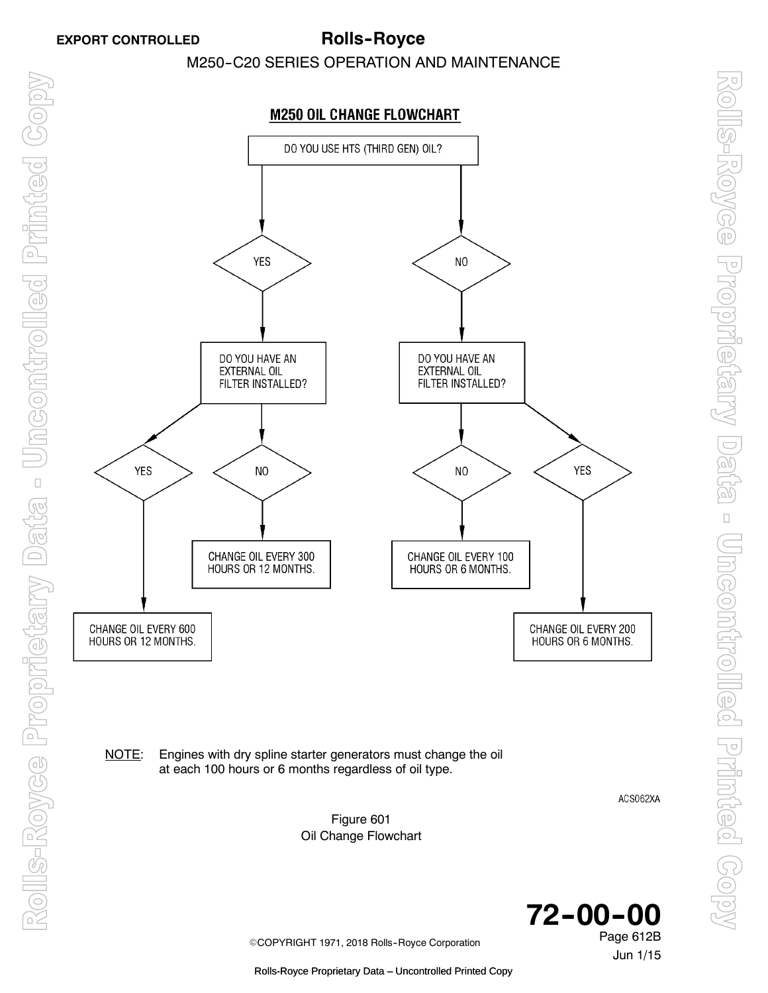

NOTE: Engines with dry spline starter generators must change the oil at each 100 hours or 6 months regardless of oil type.

ACS062XA

Jun 1/15

Figure 601 Oil Change Flowchart



©COPYRIGHT 1971, 2018 Rolls-Royce Corporation

Rolls-Royce Proprietary Data – Uncontrolled Printed Copy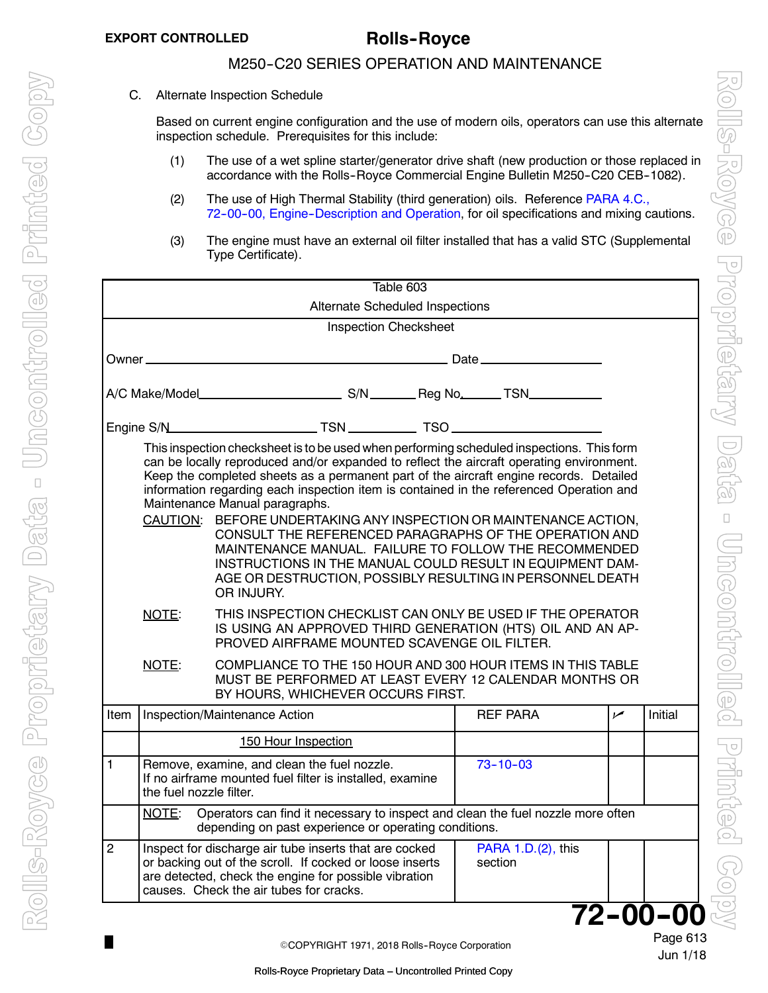П

### M250-C20 SERIES OPERATION AND MAINTENANCE

<span id="page-10-0"></span>C. Alternate Inspection Schedule

Based on current engine configuration and the use of modern oils, operators can use this alternate inspection schedule. Prerequisites for this include:

- (1) The use of a wet spline starter/generator drive shaft (new production or those replaced in accordance with the Rolls-Royce Commercial Engine Bulletin M250-C20 CEB-1082).
- (2) The use of High Thermal Stability (third generation) oils. Reference PARA 4.C., 72-00-00, Engine-Description and Operation, for oil specifications and mixing cautions.
- (3) The engine must have an external oil filter installed that has a valid STC (Supplemental Type Certificate).

|                                                                                                                                                                                                                                                                                                                                                                                                                                                                                                                                                                                                                                                                                                                                              |                         | Table 603                                                                                                                                                                                                              |  |                               |                |         |  |
|----------------------------------------------------------------------------------------------------------------------------------------------------------------------------------------------------------------------------------------------------------------------------------------------------------------------------------------------------------------------------------------------------------------------------------------------------------------------------------------------------------------------------------------------------------------------------------------------------------------------------------------------------------------------------------------------------------------------------------------------|-------------------------|------------------------------------------------------------------------------------------------------------------------------------------------------------------------------------------------------------------------|--|-------------------------------|----------------|---------|--|
| Alternate Scheduled Inspections                                                                                                                                                                                                                                                                                                                                                                                                                                                                                                                                                                                                                                                                                                              |                         |                                                                                                                                                                                                                        |  |                               |                |         |  |
|                                                                                                                                                                                                                                                                                                                                                                                                                                                                                                                                                                                                                                                                                                                                              |                         | <b>Inspection Checksheet</b>                                                                                                                                                                                           |  |                               |                |         |  |
| Owner _                                                                                                                                                                                                                                                                                                                                                                                                                                                                                                                                                                                                                                                                                                                                      |                         |                                                                                                                                                                                                                        |  |                               |                |         |  |
|                                                                                                                                                                                                                                                                                                                                                                                                                                                                                                                                                                                                                                                                                                                                              |                         |                                                                                                                                                                                                                        |  |                               |                |         |  |
|                                                                                                                                                                                                                                                                                                                                                                                                                                                                                                                                                                                                                                                                                                                                              |                         |                                                                                                                                                                                                                        |  |                               |                |         |  |
| This inspection checksheet is to be used when performing scheduled inspections. This form<br>can be locally reproduced and/or expanded to reflect the aircraft operating environment.<br>Keep the completed sheets as a permanent part of the aircraft engine records. Detailed<br>information regarding each inspection item is contained in the referenced Operation and<br>Maintenance Manual paragraphs.<br>CAUTION: BEFORE UNDERTAKING ANY INSPECTION OR MAINTENANCE ACTION,<br>CONSULT THE REFERENCED PARAGRAPHS OF THE OPERATION AND<br>MAINTENANCE MANUAL. FAILURE TO FOLLOW THE RECOMMENDED<br>INSTRUCTIONS IN THE MANUAL COULD RESULT IN EQUIPMENT DAM-<br>AGE OR DESTRUCTION, POSSIBLY RESULTING IN PERSONNEL DEATH<br>OR INJURY. |                         |                                                                                                                                                                                                                        |  |                               |                |         |  |
|                                                                                                                                                                                                                                                                                                                                                                                                                                                                                                                                                                                                                                                                                                                                              | NOTE:                   | THIS INSPECTION CHECKLIST CAN ONLY BE USED IF THE OPERATOR<br>IS USING AN APPROVED THIRD GENERATION (HTS) OIL AND AN AP-<br>PROVED AIRFRAME MOUNTED SCAVENGE OIL FILTER.                                               |  |                               |                |         |  |
|                                                                                                                                                                                                                                                                                                                                                                                                                                                                                                                                                                                                                                                                                                                                              | NOTE:                   | COMPLIANCE TO THE 150 HOUR AND 300 HOUR ITEMS IN THIS TABLE<br>MUST BE PERFORMED AT LEAST EVERY 12 CALENDAR MONTHS OR<br>BY HOURS, WHICHEVER OCCURS FIRST.                                                             |  |                               |                |         |  |
| Item                                                                                                                                                                                                                                                                                                                                                                                                                                                                                                                                                                                                                                                                                                                                         |                         | Inspection/Maintenance Action                                                                                                                                                                                          |  | <b>REF PARA</b>               | $\overline{v}$ | Initial |  |
|                                                                                                                                                                                                                                                                                                                                                                                                                                                                                                                                                                                                                                                                                                                                              |                         | 150 Hour Inspection                                                                                                                                                                                                    |  |                               |                |         |  |
| 1                                                                                                                                                                                                                                                                                                                                                                                                                                                                                                                                                                                                                                                                                                                                            | the fuel nozzle filter. | Remove, examine, and clean the fuel nozzle.<br>If no airframe mounted fuel filter is installed, examine                                                                                                                |  | $73 - 10 - 03$                |                |         |  |
|                                                                                                                                                                                                                                                                                                                                                                                                                                                                                                                                                                                                                                                                                                                                              | NOTE:                   | Operators can find it necessary to inspect and clean the fuel nozzle more often<br>depending on past experience or operating conditions.                                                                               |  |                               |                |         |  |
| $\overline{2}$                                                                                                                                                                                                                                                                                                                                                                                                                                                                                                                                                                                                                                                                                                                               |                         | Inspect for discharge air tube inserts that are cocked<br>or backing out of the scroll. If cocked or loose inserts<br>are detected, check the engine for possible vibration<br>causes. Check the air tubes for cracks. |  | PARA 1.D.(2), this<br>section |                |         |  |
|                                                                                                                                                                                                                                                                                                                                                                                                                                                                                                                                                                                                                                                                                                                                              | 72-00-00                |                                                                                                                                                                                                                        |  |                               |                |         |  |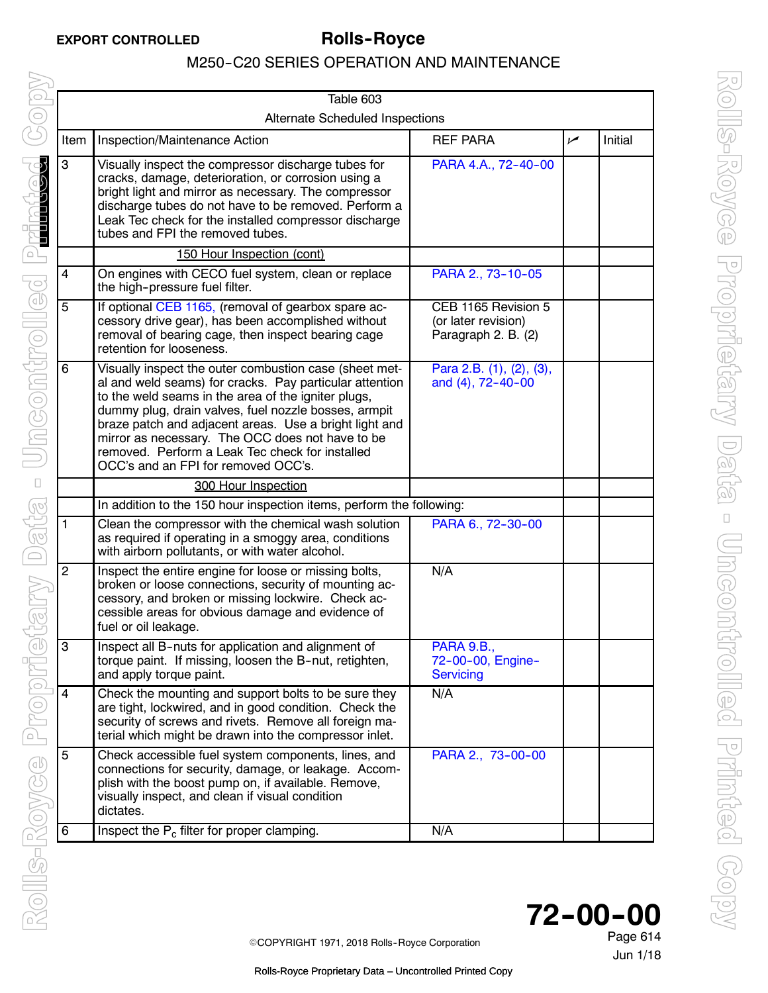|                | Table 603                                                                                                                                                                                                                                                                                                                                                                                                                                |                                                                   |     |         |  |  |
|----------------|------------------------------------------------------------------------------------------------------------------------------------------------------------------------------------------------------------------------------------------------------------------------------------------------------------------------------------------------------------------------------------------------------------------------------------------|-------------------------------------------------------------------|-----|---------|--|--|
|                | <b>Alternate Scheduled Inspections</b>                                                                                                                                                                                                                                                                                                                                                                                                   |                                                                   |     |         |  |  |
| Item           | Inspection/Maintenance Action                                                                                                                                                                                                                                                                                                                                                                                                            | <b>REF PARA</b>                                                   | سما | Initial |  |  |
| 3              | Visually inspect the compressor discharge tubes for<br>cracks, damage, deterioration, or corrosion using a<br>bright light and mirror as necessary. The compressor<br>discharge tubes do not have to be removed. Perform a<br>Leak Tec check for the installed compressor discharge<br>tubes and FPI the removed tubes.                                                                                                                  | PARA 4.A., 72-40-00                                               |     |         |  |  |
|                | 150 Hour Inspection (cont)                                                                                                                                                                                                                                                                                                                                                                                                               |                                                                   |     |         |  |  |
| 4              | On engines with CECO fuel system, clean or replace<br>the high-pressure fuel filter.                                                                                                                                                                                                                                                                                                                                                     | PARA 2., 73-10-05                                                 |     |         |  |  |
| 5              | If optional CEB 1165, (removal of gearbox spare ac-<br>cessory drive gear), has been accomplished without<br>removal of bearing cage, then inspect bearing cage<br>retention for looseness.                                                                                                                                                                                                                                              | CEB 1165 Revision 5<br>(or later revision)<br>Paragraph 2. B. (2) |     |         |  |  |
| 6              | Visually inspect the outer combustion case (sheet met-<br>al and weld seams) for cracks. Pay particular attention<br>to the weld seams in the area of the igniter plugs,<br>dummy plug, drain valves, fuel nozzle bosses, armpit<br>braze patch and adjacent areas. Use a bright light and<br>mirror as necessary. The OCC does not have to be<br>removed. Perform a Leak Tec check for installed<br>OCC's and an FPI for removed OCC's. | Para 2.B. (1), (2), (3),<br>and (4), 72-40-00                     |     |         |  |  |
|                | 300 Hour Inspection                                                                                                                                                                                                                                                                                                                                                                                                                      |                                                                   |     |         |  |  |
|                | In addition to the 150 hour inspection items, perform the following:                                                                                                                                                                                                                                                                                                                                                                     |                                                                   |     |         |  |  |
| 1              | Clean the compressor with the chemical wash solution<br>as required if operating in a smoggy area, conditions<br>with airborn pollutants, or with water alcohol.                                                                                                                                                                                                                                                                         | PARA 6., 72-30-00                                                 |     |         |  |  |
| $\overline{2}$ | Inspect the entire engine for loose or missing bolts,<br>broken or loose connections, security of mounting ac-<br>cessory, and broken or missing lockwire. Check ac-<br>cessible areas for obvious damage and evidence of<br>fuel or oil leakage.                                                                                                                                                                                        | N/A                                                               |     |         |  |  |
| 3              | Inspect all B-nuts for application and alignment of<br>torque paint. If missing, loosen the B-nut, retighten,<br>and apply torque paint.                                                                                                                                                                                                                                                                                                 | PARA 9.B.<br>72-00-00, Engine-<br><b>Servicing</b>                |     |         |  |  |
| 4              | Check the mounting and support bolts to be sure they<br>are tight, lockwired, and in good condition. Check the<br>security of screws and rivets. Remove all foreign ma-<br>terial which might be drawn into the compressor inlet.                                                                                                                                                                                                        | N/A                                                               |     |         |  |  |
| 5              | Check accessible fuel system components, lines, and<br>connections for security, damage, or leakage. Accom-<br>plish with the boost pump on, if available. Remove,<br>visually inspect, and clean if visual condition<br>dictates.                                                                                                                                                                                                       | PARA 2., 73-00-00                                                 |     |         |  |  |
| 6              | Inspect the $P_c$ filter for proper clamping.                                                                                                                                                                                                                                                                                                                                                                                            | N/A                                                               |     |         |  |  |



Jun 1/18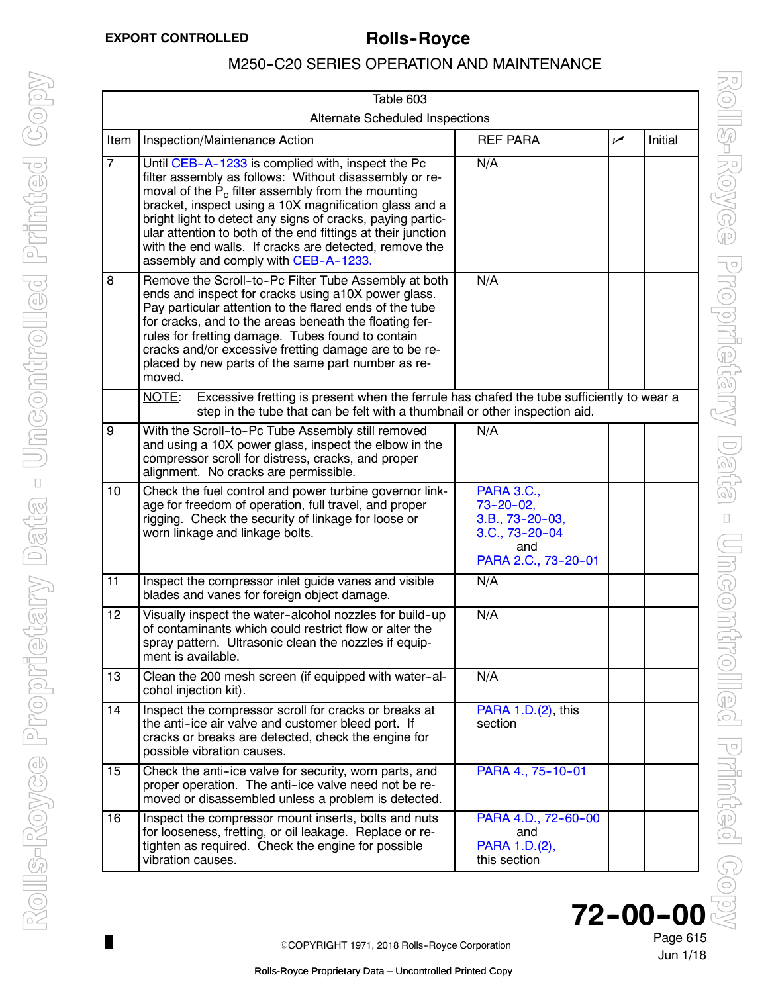$\Box$ 

## M250-C20 SERIES OPERATION AND MAINTENANCE

<span id="page-12-0"></span>

| Table 603                       |                                                                                                                                                                                                                                                                                                                                                                                                                                                               |                                                                                                              |     |         |  |  |
|---------------------------------|---------------------------------------------------------------------------------------------------------------------------------------------------------------------------------------------------------------------------------------------------------------------------------------------------------------------------------------------------------------------------------------------------------------------------------------------------------------|--------------------------------------------------------------------------------------------------------------|-----|---------|--|--|
| Alternate Scheduled Inspections |                                                                                                                                                                                                                                                                                                                                                                                                                                                               |                                                                                                              |     |         |  |  |
| Item                            | Inspection/Maintenance Action                                                                                                                                                                                                                                                                                                                                                                                                                                 | <b>REF PARA</b>                                                                                              | سما | Initial |  |  |
| $\overline{7}$                  | Until CEB-A-1233 is complied with, inspect the Pc<br>filter assembly as follows: Without disassembly or re-<br>moval of the $P_c$ filter assembly from the mounting<br>bracket, inspect using a 10X magnification glass and a<br>bright light to detect any signs of cracks, paying partic-<br>ular attention to both of the end fittings at their junction<br>with the end walls. If cracks are detected, remove the<br>assembly and comply with CEB-A-1233. | N/A                                                                                                          |     |         |  |  |
| $\overline{8}$                  | Remove the Scroll-to-Pc Filter Tube Assembly at both<br>ends and inspect for cracks using a10X power glass.<br>Pay particular attention to the flared ends of the tube<br>for cracks, and to the areas beneath the floating fer-<br>rules for fretting damage. Tubes found to contain<br>cracks and/or excessive fretting damage are to be re-<br>placed by new parts of the same part number as re-<br>moved.                                                | N/A                                                                                                          |     |         |  |  |
|                                 | Excessive fretting is present when the ferrule has chafed the tube sufficiently to wear a<br>NOTE:<br>step in the tube that can be felt with a thumbnail or other inspection aid.                                                                                                                                                                                                                                                                             |                                                                                                              |     |         |  |  |
| $\overline{9}$                  | With the Scroll-to-Pc Tube Assembly still removed<br>and using a 10X power glass, inspect the elbow in the<br>compressor scroll for distress, cracks, and proper<br>alignment. No cracks are permissible.                                                                                                                                                                                                                                                     | N/A                                                                                                          |     |         |  |  |
| 10                              | Check the fuel control and power turbine governor link-<br>age for freedom of operation, full travel, and proper<br>rigging. Check the security of linkage for loose or<br>worn linkage and linkage bolts.                                                                                                                                                                                                                                                    | <b>PARA 3.C.,</b><br>$73 - 20 - 02$ ,<br>$3.B., 73-20-03,$<br>$3.C., 73-20-04$<br>and<br>PARA 2.C., 73-20-01 |     |         |  |  |
| 11                              | Inspect the compressor inlet guide vanes and visible<br>blades and vanes for foreign object damage.                                                                                                                                                                                                                                                                                                                                                           | N/A                                                                                                          |     |         |  |  |
| 12                              | Visually inspect the water-alcohol nozzles for build-up<br>of contaminants which could restrict flow or alter the<br>spray pattern. Ultrasonic clean the nozzles if equip-<br>ment is available.                                                                                                                                                                                                                                                              | N/A                                                                                                          |     |         |  |  |
| 13                              | Clean the 200 mesh screen (if equipped with water-al-<br>cohol injection kit).                                                                                                                                                                                                                                                                                                                                                                                | N/A                                                                                                          |     |         |  |  |
| $1\overline{4}$                 | Inspect the compressor scroll for cracks or breaks at<br>the anti-ice air valve and customer bleed port. If<br>cracks or breaks are detected, check the engine for<br>possible vibration causes.                                                                                                                                                                                                                                                              | PARA 1.D.(2), this<br>section                                                                                |     |         |  |  |
| 15                              | Check the anti-ice valve for security, worn parts, and<br>proper operation. The anti-ice valve need not be re-<br>moved or disassembled unless a problem is detected.                                                                                                                                                                                                                                                                                         | PARA 4., 75-10-01                                                                                            |     |         |  |  |
| 16                              | Inspect the compressor mount inserts, bolts and nuts<br>for looseness, fretting, or oil leakage. Replace or re-<br>tighten as required. Check the engine for possible<br>vibration causes.                                                                                                                                                                                                                                                                    | PARA 4.D., 72-60-00<br>and<br>PARA 1.D.(2),<br>this section                                                  |     |         |  |  |



Jun 1/18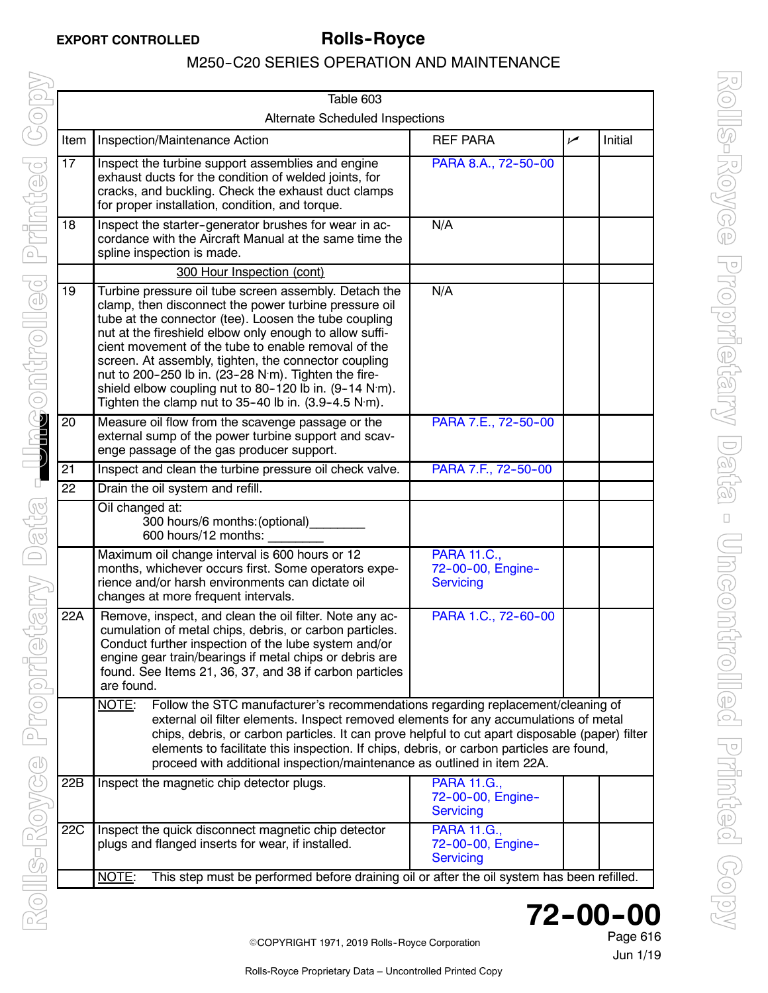|                                 | Table 603                                                                                                                                                                                                                                                                                                                                                                                                                                                                                                                                             |                                                             |     |         |  |  |
|---------------------------------|-------------------------------------------------------------------------------------------------------------------------------------------------------------------------------------------------------------------------------------------------------------------------------------------------------------------------------------------------------------------------------------------------------------------------------------------------------------------------------------------------------------------------------------------------------|-------------------------------------------------------------|-----|---------|--|--|
| Alternate Scheduled Inspections |                                                                                                                                                                                                                                                                                                                                                                                                                                                                                                                                                       |                                                             |     |         |  |  |
| Item                            | Inspection/Maintenance Action                                                                                                                                                                                                                                                                                                                                                                                                                                                                                                                         | <b>REF PARA</b>                                             | سما | Initial |  |  |
| $\overline{17}$                 | Inspect the turbine support assemblies and engine<br>exhaust ducts for the condition of welded joints, for<br>cracks, and buckling. Check the exhaust duct clamps<br>for proper installation, condition, and torque.                                                                                                                                                                                                                                                                                                                                  | PARA 8.A., 72-50-00                                         |     |         |  |  |
| 18                              | Inspect the starter-generator brushes for wear in ac-<br>cordance with the Aircraft Manual at the same time the<br>spline inspection is made.                                                                                                                                                                                                                                                                                                                                                                                                         | N/A                                                         |     |         |  |  |
|                                 | 300 Hour Inspection (cont)                                                                                                                                                                                                                                                                                                                                                                                                                                                                                                                            |                                                             |     |         |  |  |
| 19                              | Turbine pressure oil tube screen assembly. Detach the<br>clamp, then disconnect the power turbine pressure oil<br>tube at the connector (tee). Loosen the tube coupling<br>nut at the fireshield elbow only enough to allow suffi-<br>cient movement of the tube to enable removal of the<br>screen. At assembly, tighten, the connector coupling<br>nut to 200-250 lb in. (23-28 N·m). Tighten the fire-<br>shield elbow coupling nut to 80-120 lb in. (9-14 N·m).<br>Tighten the clamp nut to $35-40$ lb in. $(3.9-4.5 \text{ N} \cdot \text{m})$ . | N/A                                                         |     |         |  |  |
| 20                              | Measure oil flow from the scavenge passage or the<br>external sump of the power turbine support and scav-<br>enge passage of the gas producer support.                                                                                                                                                                                                                                                                                                                                                                                                | PARA 7.E., 72-50-00                                         |     |         |  |  |
| 21                              | Inspect and clean the turbine pressure oil check valve.                                                                                                                                                                                                                                                                                                                                                                                                                                                                                               | PARA 7.F., 72-50-00                                         |     |         |  |  |
| 22                              | Drain the oil system and refill.                                                                                                                                                                                                                                                                                                                                                                                                                                                                                                                      |                                                             |     |         |  |  |
|                                 | Oil changed at:<br>300 hours/6 months: (optional)_________<br>600 hours/12 months:                                                                                                                                                                                                                                                                                                                                                                                                                                                                    |                                                             |     |         |  |  |
|                                 | Maximum oil change interval is 600 hours or 12<br>months, whichever occurs first. Some operators expe-<br>rience and/or harsh environments can dictate oil<br>changes at more frequent intervals.                                                                                                                                                                                                                                                                                                                                                     | <b>PARA 11.C.,</b><br>72-00-00, Engine-<br>Servicing        |     |         |  |  |
| 22A                             | Remove, inspect, and clean the oil filter. Note any ac-<br>cumulation of metal chips, debris, or carbon particles.<br>Conduct further inspection of the lube system and/or<br>engine gear train/bearings if metal chips or debris are<br>found. See Items 21, 36, 37, and 38 if carbon particles<br>are found.                                                                                                                                                                                                                                        | PARA 1.C., 72-60-00                                         |     |         |  |  |
|                                 | NOTE:<br>Follow the STC manufacturer's recommendations regarding replacement/cleaning of<br>external oil filter elements. Inspect removed elements for any accumulations of metal<br>chips, debris, or carbon particles. It can prove helpful to cut apart disposable (paper) filter<br>elements to facilitate this inspection. If chips, debris, or carbon particles are found,<br>proceed with additional inspection/maintenance as outlined in item 22A.                                                                                           |                                                             |     |         |  |  |
| 22B                             | Inspect the magnetic chip detector plugs.                                                                                                                                                                                                                                                                                                                                                                                                                                                                                                             | <b>PARA 11.G.,</b><br>72-00-00, Engine-<br>Servicing        |     |         |  |  |
| 22C                             | Inspect the quick disconnect magnetic chip detector<br>plugs and flanged inserts for wear, if installed.                                                                                                                                                                                                                                                                                                                                                                                                                                              | <b>PARA 11.G.,</b><br>72-00-00, Engine-<br><b>Servicing</b> |     |         |  |  |
|                                 | This step must be performed before draining oil or after the oil system has been refilled.<br>NOTE:                                                                                                                                                                                                                                                                                                                                                                                                                                                   |                                                             |     |         |  |  |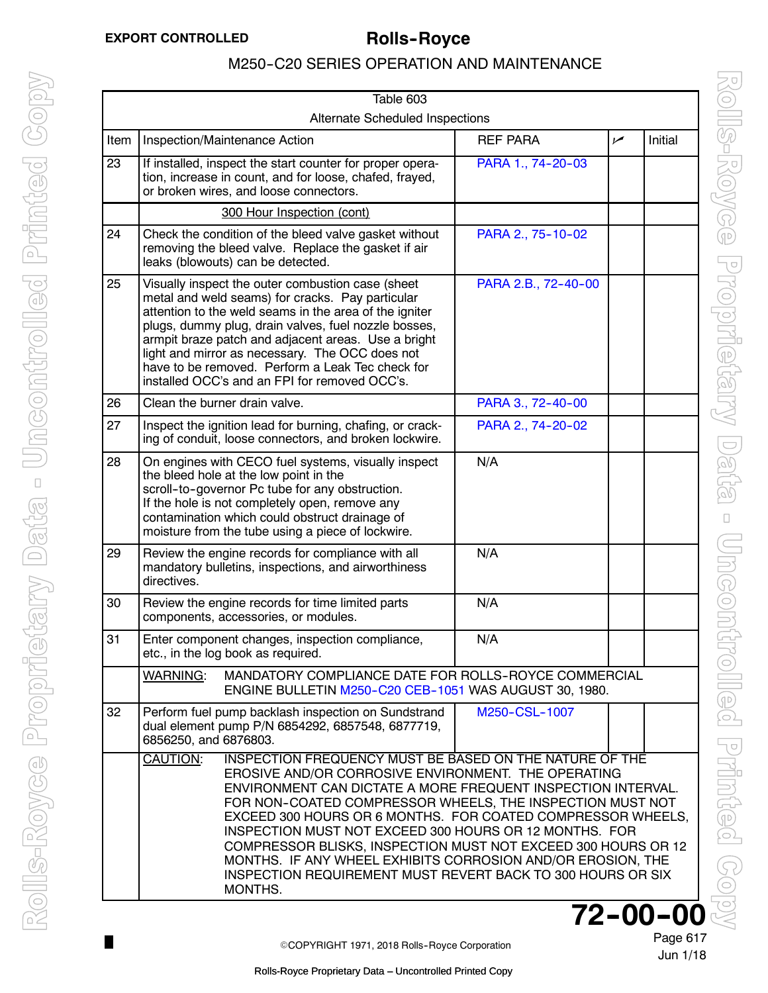$\Box$ 

# M250-C20 SERIES OPERATION AND MAINTENANCE

<span id="page-14-0"></span>

| Table 603                              |                                                                                                                                                                                                                                                                                                                                                                                                                                                                                                                                                                                                          |                                                                                                                                                                |                     |                |         |
|----------------------------------------|----------------------------------------------------------------------------------------------------------------------------------------------------------------------------------------------------------------------------------------------------------------------------------------------------------------------------------------------------------------------------------------------------------------------------------------------------------------------------------------------------------------------------------------------------------------------------------------------------------|----------------------------------------------------------------------------------------------------------------------------------------------------------------|---------------------|----------------|---------|
| <b>Alternate Scheduled Inspections</b> |                                                                                                                                                                                                                                                                                                                                                                                                                                                                                                                                                                                                          |                                                                                                                                                                |                     |                |         |
| Item                                   |                                                                                                                                                                                                                                                                                                                                                                                                                                                                                                                                                                                                          | Inspection/Maintenance Action                                                                                                                                  | <b>REF PARA</b>     | $\overline{v}$ | Initial |
| $\overline{23}$                        |                                                                                                                                                                                                                                                                                                                                                                                                                                                                                                                                                                                                          | If installed, inspect the start counter for proper opera-<br>tion, increase in count, and for loose, chafed, frayed,<br>or broken wires, and loose connectors. | PARA 1., 74-20-03   |                |         |
|                                        |                                                                                                                                                                                                                                                                                                                                                                                                                                                                                                                                                                                                          | 300 Hour Inspection (cont)                                                                                                                                     |                     |                |         |
| 24                                     |                                                                                                                                                                                                                                                                                                                                                                                                                                                                                                                                                                                                          | Check the condition of the bleed valve gasket without<br>removing the bleed valve. Replace the gasket if air<br>leaks (blowouts) can be detected.              | PARA 2., 75-10-02   |                |         |
| 25                                     | Visually inspect the outer combustion case (sheet<br>metal and weld seams) for cracks. Pay particular<br>attention to the weld seams in the area of the igniter<br>plugs, dummy plug, drain valves, fuel nozzle bosses,<br>armpit braze patch and adjacent areas. Use a bright<br>light and mirror as necessary. The OCC does not<br>have to be removed. Perform a Leak Tec check for<br>installed OCC's and an FPI for removed OCC's.                                                                                                                                                                   |                                                                                                                                                                | PARA 2.B., 72-40-00 |                |         |
| 26                                     |                                                                                                                                                                                                                                                                                                                                                                                                                                                                                                                                                                                                          | Clean the burner drain valve.                                                                                                                                  | PARA 3., 72-40-00   |                |         |
| 27                                     |                                                                                                                                                                                                                                                                                                                                                                                                                                                                                                                                                                                                          | Inspect the ignition lead for burning, chafing, or crack-<br>ing of conduit, loose connectors, and broken lockwire.                                            | PARA 2., 74-20-02   |                |         |
| 28                                     | N/A<br>On engines with CECO fuel systems, visually inspect<br>the bleed hole at the low point in the<br>scroll-to-governor Pc tube for any obstruction.<br>If the hole is not completely open, remove any<br>contamination which could obstruct drainage of<br>moisture from the tube using a piece of lockwire.                                                                                                                                                                                                                                                                                         |                                                                                                                                                                |                     |                |         |
| 29                                     | Review the engine records for compliance with all<br>mandatory bulletins, inspections, and airworthiness<br>directives.                                                                                                                                                                                                                                                                                                                                                                                                                                                                                  |                                                                                                                                                                | N/A                 |                |         |
| 30                                     | Review the engine records for time limited parts<br>components, accessories, or modules.                                                                                                                                                                                                                                                                                                                                                                                                                                                                                                                 |                                                                                                                                                                | N/A                 |                |         |
| 31                                     |                                                                                                                                                                                                                                                                                                                                                                                                                                                                                                                                                                                                          | Enter component changes, inspection compliance,<br>etc., in the log book as required.                                                                          | N/A                 |                |         |
|                                        | MANDATORY COMPLIANCE DATE FOR ROLLS-ROYCE COMMERCIAL<br><b>WARNING:</b><br>ENGINE BULLETIN M250-C20 CEB-1051 WAS AUGUST 30, 1980.                                                                                                                                                                                                                                                                                                                                                                                                                                                                        |                                                                                                                                                                |                     |                |         |
| 32                                     | 6856250, and 6876803.                                                                                                                                                                                                                                                                                                                                                                                                                                                                                                                                                                                    | Perform fuel pump backlash inspection on Sundstrand<br>dual element pump P/N 6854292, 6857548, 6877719,                                                        | M250-CSL-1007       |                |         |
|                                        | CAUTION:<br><b>INSPECTION FREQUENCY MUST BE BASED ON THE NATURE OF THE</b><br>EROSIVE AND/OR CORROSIVE ENVIRONMENT. THE OPERATING<br>ENVIRONMENT CAN DICTATE A MORE FREQUENT INSPECTION INTERVAL.<br>FOR NON-COATED COMPRESSOR WHEELS, THE INSPECTION MUST NOT<br>EXCEED 300 HOURS OR 6 MONTHS. FOR COATED COMPRESSOR WHEELS,<br>INSPECTION MUST NOT EXCEED 300 HOURS OR 12 MONTHS. FOR<br>COMPRESSOR BLISKS, INSPECTION MUST NOT EXCEED 300 HOURS OR 12<br>MONTHS. IF ANY WHEEL EXHIBITS CORROSION AND/OR EROSION, THE<br><b>INSPECTION REQUIREMENT MUST REVERT BACK TO 300 HOURS OR SIX</b><br>MONTHS. |                                                                                                                                                                |                     |                |         |

Page 617 **72-00-00** 

Jun 1/18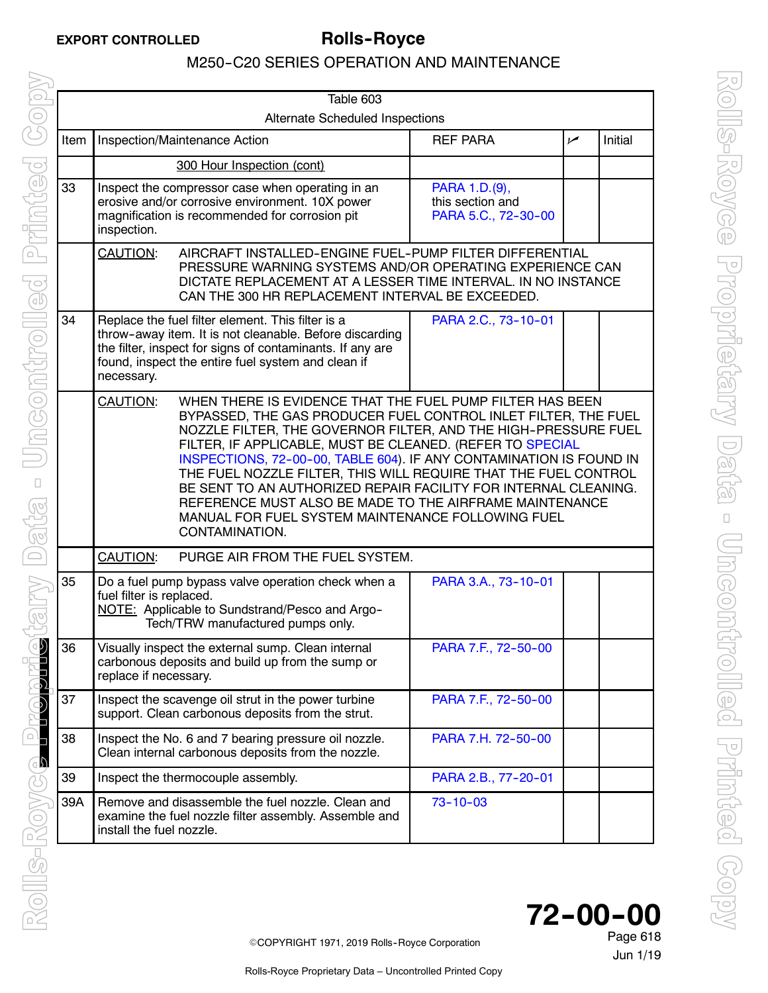<span id="page-15-0"></span>

| Table 603 |                                                                                                                                                                                                                                                                                                                                                                                                                                                                                                                                                                                                                       |                                                                                                                                                                                                                                 |                                                          |     |         |  |  |
|-----------|-----------------------------------------------------------------------------------------------------------------------------------------------------------------------------------------------------------------------------------------------------------------------------------------------------------------------------------------------------------------------------------------------------------------------------------------------------------------------------------------------------------------------------------------------------------------------------------------------------------------------|---------------------------------------------------------------------------------------------------------------------------------------------------------------------------------------------------------------------------------|----------------------------------------------------------|-----|---------|--|--|
|           | Alternate Scheduled Inspections                                                                                                                                                                                                                                                                                                                                                                                                                                                                                                                                                                                       |                                                                                                                                                                                                                                 |                                                          |     |         |  |  |
| Item      |                                                                                                                                                                                                                                                                                                                                                                                                                                                                                                                                                                                                                       | Inspection/Maintenance Action                                                                                                                                                                                                   | <b>REF PARA</b>                                          | سما | Initial |  |  |
|           |                                                                                                                                                                                                                                                                                                                                                                                                                                                                                                                                                                                                                       | 300 Hour Inspection (cont)                                                                                                                                                                                                      |                                                          |     |         |  |  |
| 33        | Inspect the compressor case when operating in an<br>erosive and/or corrosive environment. 10X power<br>magnification is recommended for corrosion pit<br>inspection.                                                                                                                                                                                                                                                                                                                                                                                                                                                  |                                                                                                                                                                                                                                 | PARA 1.D.(9),<br>this section and<br>PARA 5.C., 72-30-00 |     |         |  |  |
|           | AIRCRAFT INSTALLED-ENGINE FUEL-PUMP FILTER DIFFERENTIAL<br><b>CAUTION:</b><br>PRESSURE WARNING SYSTEMS AND/OR OPERATING EXPERIENCE CAN<br>DICTATE REPLACEMENT AT A LESSER TIME INTERVAL. IN NO INSTANCE<br>CAN THE 300 HR REPLACEMENT INTERVAL BE EXCEEDED.                                                                                                                                                                                                                                                                                                                                                           |                                                                                                                                                                                                                                 |                                                          |     |         |  |  |
| 34        | necessary.                                                                                                                                                                                                                                                                                                                                                                                                                                                                                                                                                                                                            | Replace the fuel filter element. This filter is a<br>throw-away item. It is not cleanable. Before discarding<br>the filter, inspect for signs of contaminants. If any are<br>found, inspect the entire fuel system and clean if | PARA 2.C., 73-10-01                                      |     |         |  |  |
|           | WHEN THERE IS EVIDENCE THAT THE FUEL PUMP FILTER HAS BEEN<br>CAUTION:<br>BYPASSED, THE GAS PRODUCER FUEL CONTROL INLET FILTER, THE FUEL<br>NOZZLE FILTER, THE GOVERNOR FILTER, AND THE HIGH-PRESSURE FUEL<br>FILTER, IF APPLICABLE, MUST BE CLEANED. (REFER TO SPECIAL<br>INSPECTIONS, 72-00-00, TABLE 604). IF ANY CONTAMINATION IS FOUND IN<br>THE FUEL NOZZLE FILTER, THIS WILL REQUIRE THAT THE FUEL CONTROL<br>BE SENT TO AN AUTHORIZED REPAIR FACILITY FOR INTERNAL CLEANING.<br>REFERENCE MUST ALSO BE MADE TO THE AIRFRAME MAINTENANCE<br>MANUAL FOR FUEL SYSTEM MAINTENANCE FOLLOWING FUEL<br>CONTAMINATION. |                                                                                                                                                                                                                                 |                                                          |     |         |  |  |
|           | <b>CAUTION:</b><br>PURGE AIR FROM THE FUEL SYSTEM.                                                                                                                                                                                                                                                                                                                                                                                                                                                                                                                                                                    |                                                                                                                                                                                                                                 |                                                          |     |         |  |  |
| 35        | fuel filter is replaced.                                                                                                                                                                                                                                                                                                                                                                                                                                                                                                                                                                                              | Do a fuel pump bypass valve operation check when a<br>NOTE: Applicable to Sundstrand/Pesco and Argo-<br>Tech/TRW manufactured pumps only.                                                                                       | PARA 3.A., 73-10-01                                      |     |         |  |  |
| 36        | Visually inspect the external sump. Clean internal<br>carbonous deposits and build up from the sump or<br>replace if necessary.                                                                                                                                                                                                                                                                                                                                                                                                                                                                                       |                                                                                                                                                                                                                                 | PARA 7.F., 72-50-00                                      |     |         |  |  |
| 37        | Inspect the scavenge oil strut in the power turbine<br>support. Clean carbonous deposits from the strut.                                                                                                                                                                                                                                                                                                                                                                                                                                                                                                              |                                                                                                                                                                                                                                 | PARA 7.F., 72-50-00                                      |     |         |  |  |
| 38        | Inspect the No. 6 and 7 bearing pressure oil nozzle.<br>Clean internal carbonous deposits from the nozzle.                                                                                                                                                                                                                                                                                                                                                                                                                                                                                                            |                                                                                                                                                                                                                                 | PARA 7.H. 72-50-00                                       |     |         |  |  |
| 39        | Inspect the thermocouple assembly.                                                                                                                                                                                                                                                                                                                                                                                                                                                                                                                                                                                    |                                                                                                                                                                                                                                 | PARA 2.B., 77-20-01                                      |     |         |  |  |
| 39A       | Remove and disassemble the fuel nozzle. Clean and<br>examine the fuel nozzle filter assembly. Assemble and<br>install the fuel nozzle.                                                                                                                                                                                                                                                                                                                                                                                                                                                                                |                                                                                                                                                                                                                                 | $73 - 10 - 03$                                           |     |         |  |  |



Jun 1/19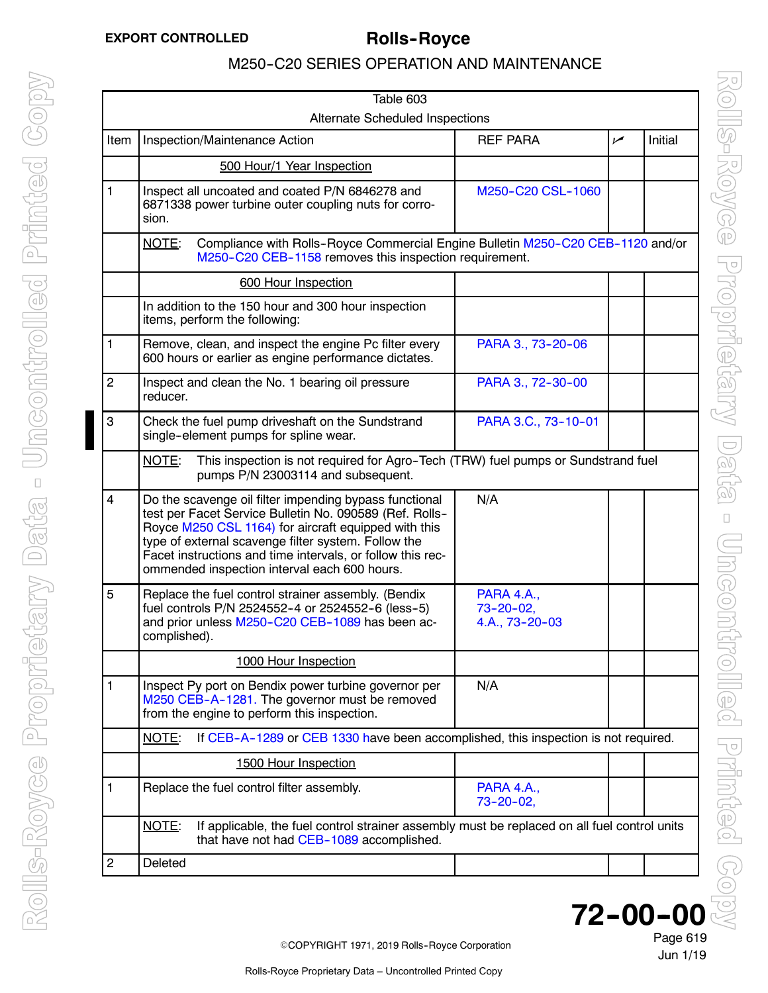| Table 603                              |                                                                                                                                                                                                                                                                                                                                                |                                                        |                |         |  |  |
|----------------------------------------|------------------------------------------------------------------------------------------------------------------------------------------------------------------------------------------------------------------------------------------------------------------------------------------------------------------------------------------------|--------------------------------------------------------|----------------|---------|--|--|
| <b>Alternate Scheduled Inspections</b> |                                                                                                                                                                                                                                                                                                                                                |                                                        |                |         |  |  |
| Item                                   | Inspection/Maintenance Action                                                                                                                                                                                                                                                                                                                  | <b>REF PARA</b>                                        | $\overline{v}$ | Initial |  |  |
|                                        | 500 Hour/1 Year Inspection                                                                                                                                                                                                                                                                                                                     |                                                        |                |         |  |  |
| $\mathbf{1}$                           | Inspect all uncoated and coated P/N 6846278 and<br>6871338 power turbine outer coupling nuts for corro-<br>sion.                                                                                                                                                                                                                               | M250-C20 CSL-1060                                      |                |         |  |  |
|                                        | NOTE:<br>Compliance with Rolls-Royce Commercial Engine Bulletin M250-C20 CEB-1120 and/or<br>M250-C20 CEB-1158 removes this inspection requirement.                                                                                                                                                                                             |                                                        |                |         |  |  |
|                                        | 600 Hour Inspection                                                                                                                                                                                                                                                                                                                            |                                                        |                |         |  |  |
|                                        | In addition to the 150 hour and 300 hour inspection<br>items, perform the following:                                                                                                                                                                                                                                                           |                                                        |                |         |  |  |
| 1                                      | Remove, clean, and inspect the engine Pc filter every<br>600 hours or earlier as engine performance dictates.                                                                                                                                                                                                                                  | PARA 3., 73-20-06                                      |                |         |  |  |
| $\overline{2}$                         | Inspect and clean the No. 1 bearing oil pressure<br>reducer.                                                                                                                                                                                                                                                                                   | PARA 3., 72-30-00                                      |                |         |  |  |
| 3                                      | Check the fuel pump driveshaft on the Sundstrand<br>single-element pumps for spline wear.                                                                                                                                                                                                                                                      | PARA 3.C., 73-10-01                                    |                |         |  |  |
|                                        | This inspection is not required for Agro-Tech (TRW) fuel pumps or Sundstrand fuel<br>NOTE:<br>pumps P/N 23003114 and subsequent.                                                                                                                                                                                                               |                                                        |                |         |  |  |
| 4                                      | Do the scavenge oil filter impending bypass functional<br>test per Facet Service Bulletin No. 090589 (Ref. Rolls-<br>Royce M250 CSL 1164) for aircraft equipped with this<br>type of external scavenge filter system. Follow the<br>Facet instructions and time intervals, or follow this rec-<br>ommended inspection interval each 600 hours. | N/A                                                    |                |         |  |  |
| 5                                      | Replace the fuel control strainer assembly. (Bendix<br>fuel controls P/N 2524552-4 or 2524552-6 (less-5)<br>and prior unless M250-C20 CEB-1089 has been ac-<br>complished).                                                                                                                                                                    | <b>PARA 4.A.,</b><br>$73 - 20 - 02,$<br>4.A., 73-20-03 |                |         |  |  |
|                                        | 1000 Hour Inspection                                                                                                                                                                                                                                                                                                                           |                                                        |                |         |  |  |
| 1                                      | Inspect Py port on Bendix power turbine governor per<br>M250 CEB-A-1281. The governor must be removed<br>from the engine to perform this inspection.                                                                                                                                                                                           | N/A                                                    |                |         |  |  |
|                                        | If CEB-A-1289 or CEB 1330 have been accomplished, this inspection is not required.<br>NOTE:                                                                                                                                                                                                                                                    |                                                        |                |         |  |  |
|                                        | 1500 Hour Inspection                                                                                                                                                                                                                                                                                                                           |                                                        |                |         |  |  |
| 1                                      | Replace the fuel control filter assembly.                                                                                                                                                                                                                                                                                                      | <b>PARA 4.A.,</b><br>$73 - 20 - 02$                    |                |         |  |  |
|                                        | NOTE:<br>If applicable, the fuel control strainer assembly must be replaced on all fuel control units<br>that have not had CEB-1089 accomplished.                                                                                                                                                                                              |                                                        |                |         |  |  |
| $\overline{c}$                         | Deleted                                                                                                                                                                                                                                                                                                                                        |                                                        |                |         |  |  |
|                                        |                                                                                                                                                                                                                                                                                                                                                |                                                        |                |         |  |  |